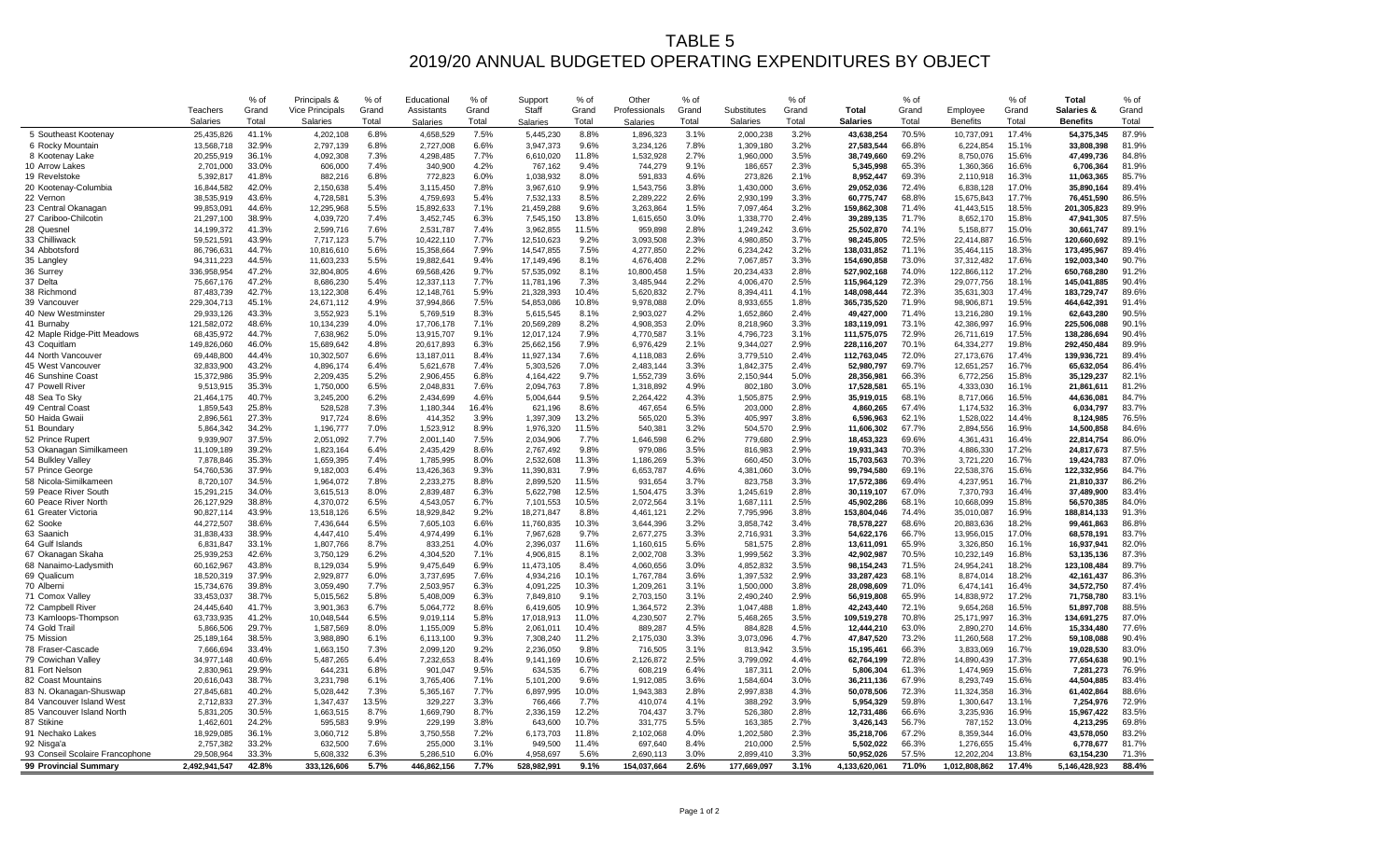## TABLE 5 2019/20 ANNUAL BUDGETED OPERATING EXPENDITURES BY OBJECT

| 41.1%<br>7.5%<br>70.5%<br>17.4%<br>87.9%<br>5 Southeast Kootenay<br>25,435,826<br>4,202,108<br>6.8%<br>4,658,529<br>5,445,230<br>8.8%<br>1,896,323<br>3.1%<br>2,000,238<br>3.2%<br>43,638,254<br>10,737,091<br>54,375,345<br>32.9%<br>6.6%<br>7.8%<br>3.2%<br>66.8%<br>81.9%<br>13,568,718<br>2,797,139<br>6.8%<br>2,727,008<br>3,947,373<br>9.6%<br>3,234,126<br>27,583,544<br>15.1%<br>33,808,398<br>6 Rocky Mountain<br>1,309,180<br>6,224,854<br>36.1%<br>7.3%<br>7.7%<br>11.8%<br>2.7%<br>3.5%<br>69.2%<br>15.6%<br>84.8%<br>8 Kootenay Lake<br>20,255,919<br>4,092,308<br>4,298,485<br>6,610,020<br>1,532,928<br>1,960,000<br>38,749,660<br>8,750,076<br>47,499,736<br>4.2%<br>2.3%<br>81.9%<br>10 Arrow Lakes<br>2,701,000<br>33.0%<br>606,000<br>7.4%<br>340,900<br>767,162<br>9.4%<br>744,279<br>9.1%<br>186,657<br>5,345,998<br>65.3%<br>1,360,366<br>16.6%<br>6,706,364<br>41.8%<br>6.0%<br>69.3%<br>16.3%<br>85.7%<br>19 Revelstoke<br>6.8%<br>772,823<br>8.0%<br>4.6%<br>273,826<br>2.1%<br>5,392,817<br>882,216<br>1,038,932<br>591,833<br>8,952,447<br>2,110,918<br>11,063,365<br>42.0%<br>5.4%<br>7.8%<br>9.9%<br>3.8%<br>3.6%<br>72.4%<br>17.0%<br>89.4%<br>20 Kootenay-Columbia<br>16,844,582<br>2,150,638<br>3,115,450<br>3,967,610<br>1,543,756<br>1,430,000<br>29,052,036<br>6,838,128<br>35,890,164<br>5.3%<br>5.4%<br>8.5%<br>2.6%<br>3.3%<br>17.7%<br>86.5%<br>43.6%<br>68.8%<br>22 Vernon<br>38,535,919<br>4,728,581<br>4,759,693<br>7,532,133<br>2,289,222<br>2,930,199<br>60,775,747<br>15,675,843<br>76.451.590<br>44.6%<br>12,295,968<br>5.5%<br>15,892,633<br>7.1%<br>21,459,288<br>9.6%<br>1.5%<br>3.2%<br>159,862,308<br>71.4%<br>41,443,515<br>18.5%<br>201,305,823<br>89.9%<br>23 Central Okanagan<br>99,853,091<br>3,263,864<br>7,097,464<br>87.5%<br>27 Cariboo-Chilcotin<br>21,297,100<br>38.9%<br>7.4%<br>3,452,745<br>6.3%<br>7,545,150<br>13.8%<br>3.0%<br>2.4%<br>39,289,135<br>71.7%<br>8,652,170<br>15.8%<br>47,941,305<br>4,039,720<br>1,615,650<br>1,338,770<br>7.6%<br>2.8%<br>3.6%<br>89.1%<br>41.3%<br>7.4%<br>11.5%<br>15.0%<br>28 Quesnel<br>14,199,372<br>2,599,716<br>2,531,787<br>3,962,855<br>959,898<br>1,249,242<br>25,502,870<br>74.1%<br>5,158,877<br>30,661,747<br>33 Chilliwack<br>43.9%<br>5.7%<br>10,422,110<br>7.7%<br>9.2%<br>3,093,508<br>2.3%<br>3.7%<br>72.5%<br>16.5%<br>89.1%<br>59,521,591<br>7,717,123<br>12,510,623<br>4,980,850<br>98,245,805<br>22,414,887<br>120,660,692<br>89.4%<br>34 Abbotsford<br>44.7%<br>5.6%<br>15,358,664<br>7.9%<br>14,547,855<br>7.5%<br>2.2%<br>6,234,242<br>3.2%<br>71.1%<br>35,464,115<br>18.3%<br>173,495,967<br>86,796,631<br>10,816,610<br>4,277,850<br>138,031,852<br>44.5%<br>5.5%<br>9.4%<br>2.2%<br>3.3%<br>17.6%<br>90.7%<br>8.1%<br>73.0%<br>35 Langley<br>19,882,641<br>17,149,496<br>4,676,408<br>154,690,858<br>37,312,482<br>192,003,340<br>94,311,223<br>11,603,233<br>7,067,857<br>47.2%<br>1.5%<br>2.8%<br>17.2%<br>91.2%<br>36 Surrey<br>336,958,954<br>32,804,805<br>4.6%<br>69,568,426<br>9.7%<br>57,535,092<br>8.1%<br>10,800,458<br>20,234,433<br>527,902,168<br>74.0%<br>122,866,112<br>650,768,280<br>90.4%<br>47.2%<br>5.4%<br>7.7%<br>7.3%<br>2.2%<br>2.5%<br>72.3%<br>18.1%<br>37 Delta<br>75,667,176<br>8,686,230<br>12,337,113<br>11,781,196<br>3,485,944<br>4,006,470<br>115,964,129<br>29,077,756<br>145,041,885<br>42.7%<br>6.4%<br>5.9%<br>10.4%<br>2.7%<br>17.4%<br>89.6%<br>38 Richmond<br>4.1%<br>72.3%<br>87,483,739<br>13,122,308<br>12,148,761<br>21,328,393<br>8,394,411<br>148,098,444<br>35,631,303<br>183,729,747<br>5,620,832<br>45.1%<br>4.9%<br>2.0%<br>1.8%<br>19.5%<br>91.4%<br>39 Vancouver<br>229,304,713<br>24,671,112<br>37,994,866<br>7.5%<br>54,853,086<br>10.8%<br>9,978,088<br>8,933,655<br>365,735,520<br>71.9%<br>98,906,871<br>464,642,391<br>43.3%<br>90.5%<br>3.552.923<br>5.1%<br>8.3%<br>8.1%<br>4.2%<br>2.4%<br>71.4%<br>19.1%<br>40 New Westminster<br>29,933,126<br>5,769,519<br>5,615,545<br>2,903,027<br>1,652,860<br>49,427,000<br>13,216,280<br>62,643,280<br>48.6%<br>4.0%<br>7.1%<br>8.2%<br>2.0%<br>3.3%<br>73.1%<br>16.9%<br>225,506,088<br>90.1%<br>41 Burnaby<br>121,582,072<br>10,134,239<br>17,706,178<br>20,569,289<br>4,908,353<br>8,218,960<br>183,119,091<br>42,386,997<br>42 Maple Ridge-Pitt Meadows<br>68.435.972<br>44.7%<br>5.0%<br>9.1%<br>7.9%<br>3.1%<br>3.1%<br>72.9%<br>26.711.619<br>17.5%<br>138.286.694<br>90.4%<br>7.638.962<br>13.915.707<br>12.017.124<br>4.770.587<br>4.796.723<br>111.575.075<br>19.8%<br>89.9%<br>46.0%<br>4.8%<br>6.3%<br>7.9%<br>2.1%<br>2.9%<br>70.1%<br>43 Coquitlam<br>149,826,060<br>15,689,642<br>25,662,156<br>6,976,429<br>9,344,027<br>228,116,207<br>64,334,277<br>292,450,484<br>20,617,893<br>44 North Vancouver<br>44.4%<br>6.6%<br>8.4%<br>7.6%<br>2.6%<br>2.4%<br>72.0%<br>17.4%<br>89.4%<br>69,448,800<br>10,302,507<br>11,927,134<br>3,779,510<br>112,763,045<br>27,173,676<br>139,936,721<br>13,187,011<br>4,118,083<br>86.4%<br>32.833.900<br>43.2%<br>6.4%<br>7.4%<br>7.0%<br>3.3%<br>2.4%<br>52.980.797<br>69.7%<br>16.7%<br>65.632.054<br>45 West Vancouver<br>4.896.174<br>5.621.678<br>5.303.526<br>2.483.144<br>1.842.375<br>12.651.257<br>35.9%<br>5.2%<br>82.1%<br>6.8%<br>9.7%<br>3.6%<br>5.0%<br>66.3%<br>15.8%<br>46 Sunshine Coast<br>15,372,986<br>2,209,435<br>2,906,455<br>4,164,422<br>1,552,739<br>28,356,981<br>6,772,256<br>35,129,237<br>2,150,944<br>35.3%<br>6.5%<br>3.0%<br>81.2%<br>47 Powell River<br>9,513,915<br>1,750,000<br>2,048,831<br>7.6%<br>2,094,763<br>7.8%<br>1,318,892<br>4.9%<br>802,180<br>17,528,581<br>65.1%<br>4,333,030<br>16.1%<br>21,861,611<br>40.7%<br>84.7%<br>6.2%<br>4.6%<br>9.5%<br>4.3%<br>2.9%<br>68.1%<br>16.5%<br>48 Sea To Sky<br>21,464,175<br>3,245,200<br>2,434,699<br>5,004,644<br>2,264,422<br>1,505,875<br>35,919,015<br>8,717,066<br>44,636,081<br>25.8%<br>7.3%<br>16.4%<br>8.6%<br>6.5%<br>2.8%<br>4,860,265<br>67.4%<br>16.3%<br>83.7%<br>49 Central Coast<br>1,859,543<br>528,528<br>1,180,344<br>621,196<br>467,654<br>203,000<br>1,174,532<br>6,034,797<br>50 Haida Gwaii<br>2.896.561<br>27.3%<br>917.724<br>8.6%<br>414.352<br>3.9%<br>1.397.309<br>13.2%<br>565.020<br>5.3%<br>3.8%<br>62.1%<br>14.4%<br>76.5%<br>405.997<br>6.596.963<br>1.528.022<br>8.124.985<br>84.6%<br>34.2%<br>7.0%<br>8.9%<br>11.5%<br>3.2%<br>2.9%<br>67.7%<br>16.9%<br>51 Boundary<br>5,864,342<br>1,196,777<br>1,523,912<br>1,976,320<br>540,381<br>504,570<br>11,606,302<br>2,894,556<br>14,500,858<br>37.5%<br>7.7%<br>7.5%<br>7.7%<br>6.2%<br>2.9%<br>69.6%<br>16.4%<br>86.0%<br>52 Prince Rupert<br>9,939,907<br>2,051,092<br>2,001,140<br>2,034,906<br>1,646,598<br>779,680<br>18,453,323<br>4,361,431<br>22,814,754<br>39.2%<br>6.4%<br>2.435.429<br>8.6%<br>9.8%<br>979.086<br>3.5%<br>2.9%<br>70.3%<br>17.2%<br>87.5%<br>53 Okanagan Similkameen<br>11,109,189<br>1,823,164<br>2,767,492<br>816.983<br>19.931.343<br>4.886.330<br>24.817.673<br>54 Bulkley Valley<br>35.3%<br>7.4%<br>8.0%<br>11.3%<br>5.3%<br>3.0%<br>70.3%<br>16.7%<br>87.0%<br>7,878,846<br>2,532,608<br>15,703,563<br>1,659,395<br>1,785,995<br>1,186,269<br>660,450<br>3,721,220<br>19,424,783<br>57 Prince George<br>54,760,536<br>37.9%<br>9,182,003<br>6.4%<br>13,426,363<br>9.3%<br>11,390,831<br>7.9%<br>6,653,787<br>4.6%<br>4,381,060<br>3.0%<br>99,794,580<br>69.1%<br>22,538,376<br>15.6%<br>122,332,956<br>84.7%<br>86.2%<br>34.5%<br>11.5%<br>3.7%<br>3.3%<br>69.4%<br>16.7%<br>58 Nicola-Similkameen<br>8,720,107<br>1,964,072<br>7.8%<br>2,233,275<br>8.8%<br>2,899,520<br>931,654<br>823,758<br>17,572,386<br>4,237,951<br>21,810,337<br>8.0%<br>6.3%<br>12.5%<br>83.4%<br>34.0%<br>3.3%<br>2.8%<br>67.0%<br>16.4%<br>59 Peace River South<br>2,839,487<br>1,504,475<br>30,119,107<br>37,489,900<br>15,291,215<br>3,615,513<br>5,622,798<br>1,245,619<br>7,370,793<br>6.5%<br>10.5%<br>2.5%<br>84.0%<br>60 Peace River North<br>26,127,929<br>38.8%<br>4,370,072<br>4,543,057<br>6.7%<br>7,101,553<br>2.072.564<br>3.1%<br>1,687,111<br>45,902,286<br>68.1%<br>10,668,099<br>15.8%<br>56.570.385<br>91.3%<br>43.9%<br>6.5%<br>9.2%<br>2.2%<br>3.8%<br>74.4%<br>16.9%<br>61 Greater Victoria<br>90,827,114<br>13,518,126<br>18,929,842<br>18,271,847<br>8.8%<br>4,461,121<br>7,795,996<br>153,804,046<br>35,010,087<br>188,814,133<br>38.6%<br>6.5%<br>6.6%<br>10.3%<br>3.2%<br>3.4%<br>68.6%<br>18.2%<br>86.8%<br>62 Sooke<br>44,272,507<br>11,760,835<br>3,644,396<br>78,578,227<br>20,883,636<br>99,461,863<br>7,436,644<br>7,605,103<br>3,858,742<br>63 Saanich<br>38.9%<br>5.4%<br>6.1%<br>9.7%<br>3.3%<br>3.3%<br>66.7%<br>17.0%<br>83.7%<br>31.838.433<br>4.447.410<br>4.974.499<br>7.967.628<br>2.677.275<br>2.716.931<br>54.622.176<br>13.956.015<br>68.578.191<br>82.0%<br>33.1%<br>8.7%<br>4.0%<br>11.6%<br>5.6%<br>2.8%<br>65.9%<br>16.1%<br>64 Gulf Islands<br>833,251<br>581,575<br>3,326,850<br>6,831,847<br>1,807,766<br>2,396,037<br>1,160,615<br>13,611,091<br>16,937,941<br>42.6%<br>6.2%<br>7.1%<br>8.1%<br>3.3%<br>3.3%<br>70.5%<br>16.8%<br>87.3%<br>67 Okanagan Skaha<br>25,939,253<br>3,750,129<br>4,304,520<br>2,002,708<br>1,999,562<br>42,902,987<br>10,232,149<br>53,135,136<br>4,906,815<br>43.8%<br>5.9%<br>6.9%<br>8.4%<br>3.0%<br>3.5%<br>71.5%<br>18.2%<br>123.108.484<br>89.7%<br>68 Nanaimo-Ladysmith<br>60,162,967<br>8,129,034<br>9,475,649<br>11,473,105<br>4.060.656<br>4,852,832<br>98.154.243<br>24,954,241<br>37.9%<br>6.0%<br>7.6%<br>10.1%<br>3.6%<br>2.9%<br>68.1%<br>18.2%<br>86.3%<br>69 Qualicum<br>18,520,319<br>2,929,877<br>3,737,695<br>4,934,216<br>1,767,784<br>1,397,532<br>33,287,423<br>8,874,014<br>42,161,437<br>87.4%<br>70 Alberni<br>15,734,676<br>39.8%<br>3,059,490<br>7.7%<br>2,503,957<br>6.3%<br>4,091,225<br>10.3%<br>1,209,261<br>3.1%<br>1,500,000<br>3.8%<br>28,098,609<br>71.0%<br>16.4%<br>34.572.750<br>6,474,141<br>38.7%<br>5.8%<br>2.9%<br>17.2%<br>83.1%<br>71 Comox Valley<br>33,453,037<br>5,015,562<br>5,408,009<br>6.3%<br>7,849,810<br>9.1%<br>2,703,150<br>3.1%<br>2,490,240<br>56,919,808<br>65.9%<br>14,838,972<br>71,758,780<br>41.7%<br>6.7%<br>8.6%<br>10.9%<br>2.3%<br>1.8%<br>72.1%<br>16.5%<br>88.5%<br>72 Campbell River<br>24,445,640<br>5,064,772<br>1,364,572<br>1,047,488<br>42,243,440<br>9,654,268<br>51,897,708<br>3,901,363<br>6,419,605<br>3.5%<br>87.0%<br>73 Kamloops-Thompson<br>63,733,935<br>41.2%<br>10,048,544<br>6.5%<br>5.8%<br>11.0%<br>4,230,507<br>2.7%<br>5,468,265<br>109,519,278<br>70.8%<br>25, 171, 997<br>16.3%<br>134,691,275<br>9,019,114<br>17,018,913<br>29.7%<br>8.0%<br>5.8%<br>4.5%<br>4.5%<br>77.6%<br>74 Gold Trail<br>5,866,506<br>1,587,569<br>1,155,009<br>2,061,011<br>10.4%<br>889,287<br>884,828<br>12,444,210<br>63.0%<br>2,890,270<br>14.6%<br>15,334,480<br>38.5%<br>6.1%<br>9.3%<br>11.2%<br>3.3%<br>4.7%<br>47,847,520<br>73.2%<br>17.2%<br>90.4%<br>75 Mission<br>3,988,890<br>7,308,240<br>2,175,030<br>3,073,096<br>11,260,568<br>59,108,088<br>25,189,164<br>6,113,100<br>33.4%<br>7.3%<br>9.2%<br>9.8%<br>3.1%<br>3.5%<br>66.3%<br>16.7%<br>83.0%<br>78 Fraser-Cascade<br>7,666,694<br>1,663,150<br>2,099,120<br>2,236,050<br>716.505<br>813.942<br>15,195,461<br>3,833,069<br>19.028.530<br>2.5%<br>40.6%<br>6.4%<br>8.4%<br>10.6%<br>4.4%<br>72.8%<br>17.3%<br>90.1%<br>79 Cowichan Valley<br>3,799,092<br>77,654,638<br>34,977,148<br>5,487,265<br>7,232,653<br>9,141,169<br>2,126,872<br>62,764,199<br>14,890,439<br>81 Fort Nelson<br>2,830,961<br>29.9%<br>644,231<br>6.8%<br>901.047<br>9.5%<br>634.535<br>6.7%<br>608,219<br>6.4%<br>187,311<br>2.0%<br>5,806,304<br>61.3%<br>1,474,969<br>15.6%<br>7.281.273<br>76.9%<br>38.7%<br>15.6%<br>83.4%<br>82 Coast Mountains<br>20,616,043<br>3,231,798<br>6.1%<br>3,765,406<br>7.1%<br>5,101,200<br>9.6%<br>1,912,085<br>3.6%<br>1,584,604<br>3.0%<br>36,211,136<br>67.9%<br>8,293,749<br>44,504,885<br>88.6%<br>40.2%<br>7.3%<br>7.7%<br>10.0%<br>2.8%<br>4.3%<br>72.3%<br>16.3%<br>83 N. Okanagan-Shuswap<br>50,078,506<br>27,845,681<br>5,028,442<br>5,365,167<br>6,897,995<br>1,943,383<br>2,997,838<br>11,324,358<br>61,402,864<br>84 Vancouver Island West<br>2,712,833<br>27.3%<br>1,347,437<br>13.5%<br>329,227<br>3.3%<br>7.7%<br>410,074<br>4.1%<br>388,292<br>3.9%<br>5,954,329<br>59.8%<br>1,300,647<br>13.1%<br>7,254,976<br>72.9%<br>766,466<br>30.5%<br>8.7%<br>12.2%<br>66.6%<br>83.5%<br>85 Vancouver Island North<br>5,831,205<br>1,663,515<br>8.7%<br>1,669,790<br>2,336,159<br>704,437<br>3.7%<br>526,380<br>2.8%<br>12,731,486<br>3,235,936<br>16.9%<br>15,967,422<br>24.2%<br>9.9%<br>3.8%<br>10.7%<br>5.5%<br>2.7%<br>56.7%<br>13.0%<br>69.8%<br>87 Stikine<br>229,199<br>331,775<br>1,462,601<br>595,583<br>643,600<br>163,385<br>3,426,143<br>787,152<br>4,213,295<br>36.1%<br>5.8%<br>7.2%<br>11.8%<br>4.0%<br>2.3%<br>67.2%<br>16.0%<br>83.2%<br>91 Nechako Lakes<br>18.929.085<br>3,060,712<br>3.750.558<br>6,173,703<br>2,102,068<br>1,202,580<br>35,218,706<br>8.359.344<br>43.578.050<br>33.2%<br>7.6%<br>11.4%<br>8.4%<br>2.5%<br>66.3%<br>15.4%<br>81.7%<br>92 Nisga'a<br>632,500<br>255,000<br>3.1%<br>697,640<br>5,502,022<br>1,276,655<br>2,757,382<br>949,500<br>210,000<br>6,778,677<br>33.3%<br>5.608.332<br>6.3%<br>5.286.510<br>6.0%<br>5.6%<br>2.690.113<br>3.0%<br>3.3%<br>57.5%<br>13.8%<br>71.3%<br>93 Conseil Scolaire Francophone<br>29,508,964<br>4.958.697<br>2.899.410<br>50,952,026<br>12.202.204<br>63,154,230<br>99 Provincial Summary<br>42.8%<br>5.7%<br>446,862,156<br>7.7%<br>528,982,991<br>9.1%<br>154,037,664<br>2.6%<br>177,669,097<br>3.1%<br>4,133,620,061<br>71.0%<br>1,012,808,862<br>17.4%<br>5,146,428,923<br>88.4%<br>2,492,941,547<br>333,126,606 | Teachers | % of<br>Grand | Principals &<br><b>Vice Principals</b> | % of<br>Grand | Educational<br>Assistants | % of<br>Grand | Support<br>Staff | % of<br>Grand | Other<br>Professionals | % of<br>Grand | Substitutes | % of<br>Grand | Total           | % of<br>Grand | Employee        | % of<br>Grand | Total<br>Salaries & | % of<br>Grand |
|---------------------------------------------------------------------------------------------------------------------------------------------------------------------------------------------------------------------------------------------------------------------------------------------------------------------------------------------------------------------------------------------------------------------------------------------------------------------------------------------------------------------------------------------------------------------------------------------------------------------------------------------------------------------------------------------------------------------------------------------------------------------------------------------------------------------------------------------------------------------------------------------------------------------------------------------------------------------------------------------------------------------------------------------------------------------------------------------------------------------------------------------------------------------------------------------------------------------------------------------------------------------------------------------------------------------------------------------------------------------------------------------------------------------------------------------------------------------------------------------------------------------------------------------------------------------------------------------------------------------------------------------------------------------------------------------------------------------------------------------------------------------------------------------------------------------------------------------------------------------------------------------------------------------------------------------------------------------------------------------------------------------------------------------------------------------------------------------------------------------------------------------------------------------------------------------------------------------------------------------------------------------------------------------------------------------------------------------------------------------------------------------------------------------------------------------------------------------------------------------------------------------------------------------------------------------------------------------------------------------------------------------------------------------------------------------------------------------------------------------------------------------------------------------------------------------------------------------------------------------------------------------------------------------------------------------------------------------------------------------------------------------------------------------------------------------------------------------------------------------------------------------------------------------------------------------------------------------------------------------------------------------------------------------------------------------------------------------------------------------------------------------------------------------------------------------------------------------------------------------------------------------------------------------------------------------------------------------------------------------------------------------------------------------------------------------------------------------------------------------------------------------------------------------------------------------------------------------------------------------------------------------------------------------------------------------------------------------------------------------------------------------------------------------------------------------------------------------------------------------------------------------------------------------------------------------------------------------------------------------------------------------------------------------------------------------------------------------------------------------------------------------------------------------------------------------------------------------------------------------------------------------------------------------------------------------------------------------------------------------------------------------------------------------------------------------------------------------------------------------------------------------------------------------------------------------------------------------------------------------------------------------------------------------------------------------------------------------------------------------------------------------------------------------------------------------------------------------------------------------------------------------------------------------------------------------------------------------------------------------------------------------------------------------------------------------------------------------------------------------------------------------------------------------------------------------------------------------------------------------------------------------------------------------------------------------------------------------------------------------------------------------------------------------------------------------------------------------------------------------------------------------------------------------------------------------------------------------------------------------------------------------------------------------------------------------------------------------------------------------------------------------------------------------------------------------------------------------------------------------------------------------------------------------------------------------------------------------------------------------------------------------------------------------------------------------------------------------------------------------------------------------------------------------------------------------------------------------------------------------------------------------------------------------------------------------------------------------------------------------------------------------------------------------------------------------------------------------------------------------------------------------------------------------------------------------------------------------------------------------------------------------------------------------------------------------------------------------------------------------------------------------------------------------------------------------------------------------------------------------------------------------------------------------------------------------------------------------------------------------------------------------------------------------------------------------------------------------------------------------------------------------------------------------------------------------------------------------------------------------------------------------------------------------------------------------------------------------------------------------------------------------------------------------------------------------------------------------------------------------------------------------------------------------------------------------------------------------------------------------------------------------------------------------------------------------------------------------------------------------------------------------------------------------------------------------------------------------------------------------------------------------------------------------------------------------------------------------------------------------------------------------------------------------------------------------------------------------------------------------------------------------------------------------------------------------------------------------------------------------------------------------------------------------------------------------------------------------------------------------------------------------------------------------------------------------------------------------------------------------------------------------------------------------------------------------------------------------------------------------------------------------------------------------------------------------------------------------------------------------------------------------------------------------------------------------------------------------------------------------------------------------------------------------------------------------------------------------------------------------------------------------------------------------------------------------------------------------------------------------------------------------------------------------------------------------------------------------------------------------------------------------------------------------------------------------------------------------------------------------------------------------------------------------------------------------------------------------------------------------------------------------------------------------------------------------------------------------------------------------------------------------------------------------------------------------------------------------------------------------------------------------------------------------------------------------------------------------------------------------------------------------------------------------------------------------------------------------------------------------------------------------------------------------------------------------------------------------------------------------------------------------------------------------------------------------------------------------------------------------------------------------------------------------------------------------------------------------------------------------------------------------------------------------------------------------------------------------------------------------------------------------------------------------------------------------------------------------------------------------------------------------------------------------------------------------------------------------------------------------------------------------------------------------------------------------------------------------------------------------------------------------------------------------------------------------------------------------------------------------------------------------------------------------------------------------------------------------------------------------------------------------------------------------------------------------------------------------------------------------------------------------------------------------------------------------------------------------------------------------------------------------------------------------------------------------------------------------------------------------------------------------------------------------------------------------------------------------------------------------------------------------------------------------------------------------------------------------------------------------------------------------------------------------------------------------------------------------------------------------------------------------------------------------------------------------------------------------------------------------------------------------------------------------------------------------------------------------------------------------------------------------------------------------------------------------------------------------------------------------------------------------------------------------------------------------------------------------------------------------------------------------------------------------------------------------------------------------------------------------------------------------------------------------------------------------------------------------------------------------------------------------------------------------------------------------------------------------------------------------------------------------------------------------------------------------------------------------------------------------------------------------------------------------------------------------------------------------------------------------------------------------------------------------------------------------------------------------------------------------------------------------------------------------------------------------------------------------------------------------------------------------------------------------------------------------------------------------------------------------------------------------------------------------------------------------------------------------------|----------|---------------|----------------------------------------|---------------|---------------------------|---------------|------------------|---------------|------------------------|---------------|-------------|---------------|-----------------|---------------|-----------------|---------------|---------------------|---------------|
|                                                                                                                                                                                                                                                                                                                                                                                                                                                                                                                                                                                                                                                                                                                                                                                                                                                                                                                                                                                                                                                                                                                                                                                                                                                                                                                                                                                                                                                                                                                                                                                                                                                                                                                                                                                                                                                                                                                                                                                                                                                                                                                                                                                                                                                                                                                                                                                                                                                                                                                                                                                                                                                                                                                                                                                                                                                                                                                                                                                                                                                                                                                                                                                                                                                                                                                                                                                                                                                                                                                                                                                                                                                                                                                                                                                                                                                                                                                                                                                                                                                                                                                                                                                                                                                                                                                                                                                                                                                                                                                                                                                                                                                                                                                                                                                                                                                                                                                                                                                                                                                                                                                                                                                                                                                                                                                                                                                                                                                                                                                                                                                                                                                                                                                                                                                                                                                                                                                                                                                                                                                                                                                                                                                                                                                                                                                                                                                                                                                                                                                                                                                                                                                                                                                                                                                                                                                                                                                                                                                                                                                                                                                                                                                                                                                                                                                                                                                                                                                                                                                                                                                                                                                                                                                                                                                                                                                                                                                                                                                                                                                                                                                                                                                                                                                                                                                                                                                                                                                                                                                                                                                                                                                                                                                                                                                                                                                                                                                                                                                                                                                                                                                                                                                                                                                                                                                                                                                                                                                                                                                                                                                                                                                                                                                                                                                                                                                                                                                                                                                                                                                                                                                                                                                                                                                                                                                                                                                                                                                                                                                                                                                                                                                                                                                                                                                                                                                                                                                                                                                                                                                                                                                                                                                                                                                                                                                                                                                                                                                                                                                                                                                                                                                                                                                                                                                                                                                                                                                                                                                                                                                                                                                                                                                                                                                                                                                                                                                                                                                                                                                                                                                                                                                                                                                                                                                                                                                                                                                                                                                                                                                                                                                                                                                                                                                                                                                                                                                                                                                                                                                                                                                                                                                                                                                           | Salaries | Total         | Salaries                               | Total         | Salaries                  | Total         | Salaries         | Total         | Salaries               | Total         | Salaries    | Total         | <b>Salaries</b> | Total         | <b>Benefits</b> | Total         | <b>Benefits</b>     | Total         |
|                                                                                                                                                                                                                                                                                                                                                                                                                                                                                                                                                                                                                                                                                                                                                                                                                                                                                                                                                                                                                                                                                                                                                                                                                                                                                                                                                                                                                                                                                                                                                                                                                                                                                                                                                                                                                                                                                                                                                                                                                                                                                                                                                                                                                                                                                                                                                                                                                                                                                                                                                                                                                                                                                                                                                                                                                                                                                                                                                                                                                                                                                                                                                                                                                                                                                                                                                                                                                                                                                                                                                                                                                                                                                                                                                                                                                                                                                                                                                                                                                                                                                                                                                                                                                                                                                                                                                                                                                                                                                                                                                                                                                                                                                                                                                                                                                                                                                                                                                                                                                                                                                                                                                                                                                                                                                                                                                                                                                                                                                                                                                                                                                                                                                                                                                                                                                                                                                                                                                                                                                                                                                                                                                                                                                                                                                                                                                                                                                                                                                                                                                                                                                                                                                                                                                                                                                                                                                                                                                                                                                                                                                                                                                                                                                                                                                                                                                                                                                                                                                                                                                                                                                                                                                                                                                                                                                                                                                                                                                                                                                                                                                                                                                                                                                                                                                                                                                                                                                                                                                                                                                                                                                                                                                                                                                                                                                                                                                                                                                                                                                                                                                                                                                                                                                                                                                                                                                                                                                                                                                                                                                                                                                                                                                                                                                                                                                                                                                                                                                                                                                                                                                                                                                                                                                                                                                                                                                                                                                                                                                                                                                                                                                                                                                                                                                                                                                                                                                                                                                                                                                                                                                                                                                                                                                                                                                                                                                                                                                                                                                                                                                                                                                                                                                                                                                                                                                                                                                                                                                                                                                                                                                                                                                                                                                                                                                                                                                                                                                                                                                                                                                                                                                                                                                                                                                                                                                                                                                                                                                                                                                                                                                                                                                                                                                                                                                                                                                                                                                                                                                                                                                                                                                                                                                                                           |          |               |                                        |               |                           |               |                  |               |                        |               |             |               |                 |               |                 |               |                     |               |
|                                                                                                                                                                                                                                                                                                                                                                                                                                                                                                                                                                                                                                                                                                                                                                                                                                                                                                                                                                                                                                                                                                                                                                                                                                                                                                                                                                                                                                                                                                                                                                                                                                                                                                                                                                                                                                                                                                                                                                                                                                                                                                                                                                                                                                                                                                                                                                                                                                                                                                                                                                                                                                                                                                                                                                                                                                                                                                                                                                                                                                                                                                                                                                                                                                                                                                                                                                                                                                                                                                                                                                                                                                                                                                                                                                                                                                                                                                                                                                                                                                                                                                                                                                                                                                                                                                                                                                                                                                                                                                                                                                                                                                                                                                                                                                                                                                                                                                                                                                                                                                                                                                                                                                                                                                                                                                                                                                                                                                                                                                                                                                                                                                                                                                                                                                                                                                                                                                                                                                                                                                                                                                                                                                                                                                                                                                                                                                                                                                                                                                                                                                                                                                                                                                                                                                                                                                                                                                                                                                                                                                                                                                                                                                                                                                                                                                                                                                                                                                                                                                                                                                                                                                                                                                                                                                                                                                                                                                                                                                                                                                                                                                                                                                                                                                                                                                                                                                                                                                                                                                                                                                                                                                                                                                                                                                                                                                                                                                                                                                                                                                                                                                                                                                                                                                                                                                                                                                                                                                                                                                                                                                                                                                                                                                                                                                                                                                                                                                                                                                                                                                                                                                                                                                                                                                                                                                                                                                                                                                                                                                                                                                                                                                                                                                                                                                                                                                                                                                                                                                                                                                                                                                                                                                                                                                                                                                                                                                                                                                                                                                                                                                                                                                                                                                                                                                                                                                                                                                                                                                                                                                                                                                                                                                                                                                                                                                                                                                                                                                                                                                                                                                                                                                                                                                                                                                                                                                                                                                                                                                                                                                                                                                                                                                                                                                                                                                                                                                                                                                                                                                                                                                                                                                                                                                                           |          |               |                                        |               |                           |               |                  |               |                        |               |             |               |                 |               |                 |               |                     |               |
|                                                                                                                                                                                                                                                                                                                                                                                                                                                                                                                                                                                                                                                                                                                                                                                                                                                                                                                                                                                                                                                                                                                                                                                                                                                                                                                                                                                                                                                                                                                                                                                                                                                                                                                                                                                                                                                                                                                                                                                                                                                                                                                                                                                                                                                                                                                                                                                                                                                                                                                                                                                                                                                                                                                                                                                                                                                                                                                                                                                                                                                                                                                                                                                                                                                                                                                                                                                                                                                                                                                                                                                                                                                                                                                                                                                                                                                                                                                                                                                                                                                                                                                                                                                                                                                                                                                                                                                                                                                                                                                                                                                                                                                                                                                                                                                                                                                                                                                                                                                                                                                                                                                                                                                                                                                                                                                                                                                                                                                                                                                                                                                                                                                                                                                                                                                                                                                                                                                                                                                                                                                                                                                                                                                                                                                                                                                                                                                                                                                                                                                                                                                                                                                                                                                                                                                                                                                                                                                                                                                                                                                                                                                                                                                                                                                                                                                                                                                                                                                                                                                                                                                                                                                                                                                                                                                                                                                                                                                                                                                                                                                                                                                                                                                                                                                                                                                                                                                                                                                                                                                                                                                                                                                                                                                                                                                                                                                                                                                                                                                                                                                                                                                                                                                                                                                                                                                                                                                                                                                                                                                                                                                                                                                                                                                                                                                                                                                                                                                                                                                                                                                                                                                                                                                                                                                                                                                                                                                                                                                                                                                                                                                                                                                                                                                                                                                                                                                                                                                                                                                                                                                                                                                                                                                                                                                                                                                                                                                                                                                                                                                                                                                                                                                                                                                                                                                                                                                                                                                                                                                                                                                                                                                                                                                                                                                                                                                                                                                                                                                                                                                                                                                                                                                                                                                                                                                                                                                                                                                                                                                                                                                                                                                                                                                                                                                                                                                                                                                                                                                                                                                                                                                                                                                                                                                           |          |               |                                        |               |                           |               |                  |               |                        |               |             |               |                 |               |                 |               |                     |               |
|                                                                                                                                                                                                                                                                                                                                                                                                                                                                                                                                                                                                                                                                                                                                                                                                                                                                                                                                                                                                                                                                                                                                                                                                                                                                                                                                                                                                                                                                                                                                                                                                                                                                                                                                                                                                                                                                                                                                                                                                                                                                                                                                                                                                                                                                                                                                                                                                                                                                                                                                                                                                                                                                                                                                                                                                                                                                                                                                                                                                                                                                                                                                                                                                                                                                                                                                                                                                                                                                                                                                                                                                                                                                                                                                                                                                                                                                                                                                                                                                                                                                                                                                                                                                                                                                                                                                                                                                                                                                                                                                                                                                                                                                                                                                                                                                                                                                                                                                                                                                                                                                                                                                                                                                                                                                                                                                                                                                                                                                                                                                                                                                                                                                                                                                                                                                                                                                                                                                                                                                                                                                                                                                                                                                                                                                                                                                                                                                                                                                                                                                                                                                                                                                                                                                                                                                                                                                                                                                                                                                                                                                                                                                                                                                                                                                                                                                                                                                                                                                                                                                                                                                                                                                                                                                                                                                                                                                                                                                                                                                                                                                                                                                                                                                                                                                                                                                                                                                                                                                                                                                                                                                                                                                                                                                                                                                                                                                                                                                                                                                                                                                                                                                                                                                                                                                                                                                                                                                                                                                                                                                                                                                                                                                                                                                                                                                                                                                                                                                                                                                                                                                                                                                                                                                                                                                                                                                                                                                                                                                                                                                                                                                                                                                                                                                                                                                                                                                                                                                                                                                                                                                                                                                                                                                                                                                                                                                                                                                                                                                                                                                                                                                                                                                                                                                                                                                                                                                                                                                                                                                                                                                                                                                                                                                                                                                                                                                                                                                                                                                                                                                                                                                                                                                                                                                                                                                                                                                                                                                                                                                                                                                                                                                                                                                                                                                                                                                                                                                                                                                                                                                                                                                                                                                                                                           |          |               |                                        |               |                           |               |                  |               |                        |               |             |               |                 |               |                 |               |                     |               |
|                                                                                                                                                                                                                                                                                                                                                                                                                                                                                                                                                                                                                                                                                                                                                                                                                                                                                                                                                                                                                                                                                                                                                                                                                                                                                                                                                                                                                                                                                                                                                                                                                                                                                                                                                                                                                                                                                                                                                                                                                                                                                                                                                                                                                                                                                                                                                                                                                                                                                                                                                                                                                                                                                                                                                                                                                                                                                                                                                                                                                                                                                                                                                                                                                                                                                                                                                                                                                                                                                                                                                                                                                                                                                                                                                                                                                                                                                                                                                                                                                                                                                                                                                                                                                                                                                                                                                                                                                                                                                                                                                                                                                                                                                                                                                                                                                                                                                                                                                                                                                                                                                                                                                                                                                                                                                                                                                                                                                                                                                                                                                                                                                                                                                                                                                                                                                                                                                                                                                                                                                                                                                                                                                                                                                                                                                                                                                                                                                                                                                                                                                                                                                                                                                                                                                                                                                                                                                                                                                                                                                                                                                                                                                                                                                                                                                                                                                                                                                                                                                                                                                                                                                                                                                                                                                                                                                                                                                                                                                                                                                                                                                                                                                                                                                                                                                                                                                                                                                                                                                                                                                                                                                                                                                                                                                                                                                                                                                                                                                                                                                                                                                                                                                                                                                                                                                                                                                                                                                                                                                                                                                                                                                                                                                                                                                                                                                                                                                                                                                                                                                                                                                                                                                                                                                                                                                                                                                                                                                                                                                                                                                                                                                                                                                                                                                                                                                                                                                                                                                                                                                                                                                                                                                                                                                                                                                                                                                                                                                                                                                                                                                                                                                                                                                                                                                                                                                                                                                                                                                                                                                                                                                                                                                                                                                                                                                                                                                                                                                                                                                                                                                                                                                                                                                                                                                                                                                                                                                                                                                                                                                                                                                                                                                                                                                                                                                                                                                                                                                                                                                                                                                                                                                                                                                                                           |          |               |                                        |               |                           |               |                  |               |                        |               |             |               |                 |               |                 |               |                     |               |
|                                                                                                                                                                                                                                                                                                                                                                                                                                                                                                                                                                                                                                                                                                                                                                                                                                                                                                                                                                                                                                                                                                                                                                                                                                                                                                                                                                                                                                                                                                                                                                                                                                                                                                                                                                                                                                                                                                                                                                                                                                                                                                                                                                                                                                                                                                                                                                                                                                                                                                                                                                                                                                                                                                                                                                                                                                                                                                                                                                                                                                                                                                                                                                                                                                                                                                                                                                                                                                                                                                                                                                                                                                                                                                                                                                                                                                                                                                                                                                                                                                                                                                                                                                                                                                                                                                                                                                                                                                                                                                                                                                                                                                                                                                                                                                                                                                                                                                                                                                                                                                                                                                                                                                                                                                                                                                                                                                                                                                                                                                                                                                                                                                                                                                                                                                                                                                                                                                                                                                                                                                                                                                                                                                                                                                                                                                                                                                                                                                                                                                                                                                                                                                                                                                                                                                                                                                                                                                                                                                                                                                                                                                                                                                                                                                                                                                                                                                                                                                                                                                                                                                                                                                                                                                                                                                                                                                                                                                                                                                                                                                                                                                                                                                                                                                                                                                                                                                                                                                                                                                                                                                                                                                                                                                                                                                                                                                                                                                                                                                                                                                                                                                                                                                                                                                                                                                                                                                                                                                                                                                                                                                                                                                                                                                                                                                                                                                                                                                                                                                                                                                                                                                                                                                                                                                                                                                                                                                                                                                                                                                                                                                                                                                                                                                                                                                                                                                                                                                                                                                                                                                                                                                                                                                                                                                                                                                                                                                                                                                                                                                                                                                                                                                                                                                                                                                                                                                                                                                                                                                                                                                                                                                                                                                                                                                                                                                                                                                                                                                                                                                                                                                                                                                                                                                                                                                                                                                                                                                                                                                                                                                                                                                                                                                                                                                                                                                                                                                                                                                                                                                                                                                                                                                                                                                                           |          |               |                                        |               |                           |               |                  |               |                        |               |             |               |                 |               |                 |               |                     |               |
|                                                                                                                                                                                                                                                                                                                                                                                                                                                                                                                                                                                                                                                                                                                                                                                                                                                                                                                                                                                                                                                                                                                                                                                                                                                                                                                                                                                                                                                                                                                                                                                                                                                                                                                                                                                                                                                                                                                                                                                                                                                                                                                                                                                                                                                                                                                                                                                                                                                                                                                                                                                                                                                                                                                                                                                                                                                                                                                                                                                                                                                                                                                                                                                                                                                                                                                                                                                                                                                                                                                                                                                                                                                                                                                                                                                                                                                                                                                                                                                                                                                                                                                                                                                                                                                                                                                                                                                                                                                                                                                                                                                                                                                                                                                                                                                                                                                                                                                                                                                                                                                                                                                                                                                                                                                                                                                                                                                                                                                                                                                                                                                                                                                                                                                                                                                                                                                                                                                                                                                                                                                                                                                                                                                                                                                                                                                                                                                                                                                                                                                                                                                                                                                                                                                                                                                                                                                                                                                                                                                                                                                                                                                                                                                                                                                                                                                                                                                                                                                                                                                                                                                                                                                                                                                                                                                                                                                                                                                                                                                                                                                                                                                                                                                                                                                                                                                                                                                                                                                                                                                                                                                                                                                                                                                                                                                                                                                                                                                                                                                                                                                                                                                                                                                                                                                                                                                                                                                                                                                                                                                                                                                                                                                                                                                                                                                                                                                                                                                                                                                                                                                                                                                                                                                                                                                                                                                                                                                                                                                                                                                                                                                                                                                                                                                                                                                                                                                                                                                                                                                                                                                                                                                                                                                                                                                                                                                                                                                                                                                                                                                                                                                                                                                                                                                                                                                                                                                                                                                                                                                                                                                                                                                                                                                                                                                                                                                                                                                                                                                                                                                                                                                                                                                                                                                                                                                                                                                                                                                                                                                                                                                                                                                                                                                                                                                                                                                                                                                                                                                                                                                                                                                                                                                                                                                           |          |               |                                        |               |                           |               |                  |               |                        |               |             |               |                 |               |                 |               |                     |               |
|                                                                                                                                                                                                                                                                                                                                                                                                                                                                                                                                                                                                                                                                                                                                                                                                                                                                                                                                                                                                                                                                                                                                                                                                                                                                                                                                                                                                                                                                                                                                                                                                                                                                                                                                                                                                                                                                                                                                                                                                                                                                                                                                                                                                                                                                                                                                                                                                                                                                                                                                                                                                                                                                                                                                                                                                                                                                                                                                                                                                                                                                                                                                                                                                                                                                                                                                                                                                                                                                                                                                                                                                                                                                                                                                                                                                                                                                                                                                                                                                                                                                                                                                                                                                                                                                                                                                                                                                                                                                                                                                                                                                                                                                                                                                                                                                                                                                                                                                                                                                                                                                                                                                                                                                                                                                                                                                                                                                                                                                                                                                                                                                                                                                                                                                                                                                                                                                                                                                                                                                                                                                                                                                                                                                                                                                                                                                                                                                                                                                                                                                                                                                                                                                                                                                                                                                                                                                                                                                                                                                                                                                                                                                                                                                                                                                                                                                                                                                                                                                                                                                                                                                                                                                                                                                                                                                                                                                                                                                                                                                                                                                                                                                                                                                                                                                                                                                                                                                                                                                                                                                                                                                                                                                                                                                                                                                                                                                                                                                                                                                                                                                                                                                                                                                                                                                                                                                                                                                                                                                                                                                                                                                                                                                                                                                                                                                                                                                                                                                                                                                                                                                                                                                                                                                                                                                                                                                                                                                                                                                                                                                                                                                                                                                                                                                                                                                                                                                                                                                                                                                                                                                                                                                                                                                                                                                                                                                                                                                                                                                                                                                                                                                                                                                                                                                                                                                                                                                                                                                                                                                                                                                                                                                                                                                                                                                                                                                                                                                                                                                                                                                                                                                                                                                                                                                                                                                                                                                                                                                                                                                                                                                                                                                                                                                                                                                                                                                                                                                                                                                                                                                                                                                                                                                                                                           |          |               |                                        |               |                           |               |                  |               |                        |               |             |               |                 |               |                 |               |                     |               |
|                                                                                                                                                                                                                                                                                                                                                                                                                                                                                                                                                                                                                                                                                                                                                                                                                                                                                                                                                                                                                                                                                                                                                                                                                                                                                                                                                                                                                                                                                                                                                                                                                                                                                                                                                                                                                                                                                                                                                                                                                                                                                                                                                                                                                                                                                                                                                                                                                                                                                                                                                                                                                                                                                                                                                                                                                                                                                                                                                                                                                                                                                                                                                                                                                                                                                                                                                                                                                                                                                                                                                                                                                                                                                                                                                                                                                                                                                                                                                                                                                                                                                                                                                                                                                                                                                                                                                                                                                                                                                                                                                                                                                                                                                                                                                                                                                                                                                                                                                                                                                                                                                                                                                                                                                                                                                                                                                                                                                                                                                                                                                                                                                                                                                                                                                                                                                                                                                                                                                                                                                                                                                                                                                                                                                                                                                                                                                                                                                                                                                                                                                                                                                                                                                                                                                                                                                                                                                                                                                                                                                                                                                                                                                                                                                                                                                                                                                                                                                                                                                                                                                                                                                                                                                                                                                                                                                                                                                                                                                                                                                                                                                                                                                                                                                                                                                                                                                                                                                                                                                                                                                                                                                                                                                                                                                                                                                                                                                                                                                                                                                                                                                                                                                                                                                                                                                                                                                                                                                                                                                                                                                                                                                                                                                                                                                                                                                                                                                                                                                                                                                                                                                                                                                                                                                                                                                                                                                                                                                                                                                                                                                                                                                                                                                                                                                                                                                                                                                                                                                                                                                                                                                                                                                                                                                                                                                                                                                                                                                                                                                                                                                                                                                                                                                                                                                                                                                                                                                                                                                                                                                                                                                                                                                                                                                                                                                                                                                                                                                                                                                                                                                                                                                                                                                                                                                                                                                                                                                                                                                                                                                                                                                                                                                                                                                                                                                                                                                                                                                                                                                                                                                                                                                                                                                                                           |          |               |                                        |               |                           |               |                  |               |                        |               |             |               |                 |               |                 |               |                     |               |
|                                                                                                                                                                                                                                                                                                                                                                                                                                                                                                                                                                                                                                                                                                                                                                                                                                                                                                                                                                                                                                                                                                                                                                                                                                                                                                                                                                                                                                                                                                                                                                                                                                                                                                                                                                                                                                                                                                                                                                                                                                                                                                                                                                                                                                                                                                                                                                                                                                                                                                                                                                                                                                                                                                                                                                                                                                                                                                                                                                                                                                                                                                                                                                                                                                                                                                                                                                                                                                                                                                                                                                                                                                                                                                                                                                                                                                                                                                                                                                                                                                                                                                                                                                                                                                                                                                                                                                                                                                                                                                                                                                                                                                                                                                                                                                                                                                                                                                                                                                                                                                                                                                                                                                                                                                                                                                                                                                                                                                                                                                                                                                                                                                                                                                                                                                                                                                                                                                                                                                                                                                                                                                                                                                                                                                                                                                                                                                                                                                                                                                                                                                                                                                                                                                                                                                                                                                                                                                                                                                                                                                                                                                                                                                                                                                                                                                                                                                                                                                                                                                                                                                                                                                                                                                                                                                                                                                                                                                                                                                                                                                                                                                                                                                                                                                                                                                                                                                                                                                                                                                                                                                                                                                                                                                                                                                                                                                                                                                                                                                                                                                                                                                                                                                                                                                                                                                                                                                                                                                                                                                                                                                                                                                                                                                                                                                                                                                                                                                                                                                                                                                                                                                                                                                                                                                                                                                                                                                                                                                                                                                                                                                                                                                                                                                                                                                                                                                                                                                                                                                                                                                                                                                                                                                                                                                                                                                                                                                                                                                                                                                                                                                                                                                                                                                                                                                                                                                                                                                                                                                                                                                                                                                                                                                                                                                                                                                                                                                                                                                                                                                                                                                                                                                                                                                                                                                                                                                                                                                                                                                                                                                                                                                                                                                                                                                                                                                                                                                                                                                                                                                                                                                                                                                                                                                                           |          |               |                                        |               |                           |               |                  |               |                        |               |             |               |                 |               |                 |               |                     |               |
|                                                                                                                                                                                                                                                                                                                                                                                                                                                                                                                                                                                                                                                                                                                                                                                                                                                                                                                                                                                                                                                                                                                                                                                                                                                                                                                                                                                                                                                                                                                                                                                                                                                                                                                                                                                                                                                                                                                                                                                                                                                                                                                                                                                                                                                                                                                                                                                                                                                                                                                                                                                                                                                                                                                                                                                                                                                                                                                                                                                                                                                                                                                                                                                                                                                                                                                                                                                                                                                                                                                                                                                                                                                                                                                                                                                                                                                                                                                                                                                                                                                                                                                                                                                                                                                                                                                                                                                                                                                                                                                                                                                                                                                                                                                                                                                                                                                                                                                                                                                                                                                                                                                                                                                                                                                                                                                                                                                                                                                                                                                                                                                                                                                                                                                                                                                                                                                                                                                                                                                                                                                                                                                                                                                                                                                                                                                                                                                                                                                                                                                                                                                                                                                                                                                                                                                                                                                                                                                                                                                                                                                                                                                                                                                                                                                                                                                                                                                                                                                                                                                                                                                                                                                                                                                                                                                                                                                                                                                                                                                                                                                                                                                                                                                                                                                                                                                                                                                                                                                                                                                                                                                                                                                                                                                                                                                                                                                                                                                                                                                                                                                                                                                                                                                                                                                                                                                                                                                                                                                                                                                                                                                                                                                                                                                                                                                                                                                                                                                                                                                                                                                                                                                                                                                                                                                                                                                                                                                                                                                                                                                                                                                                                                                                                                                                                                                                                                                                                                                                                                                                                                                                                                                                                                                                                                                                                                                                                                                                                                                                                                                                                                                                                                                                                                                                                                                                                                                                                                                                                                                                                                                                                                                                                                                                                                                                                                                                                                                                                                                                                                                                                                                                                                                                                                                                                                                                                                                                                                                                                                                                                                                                                                                                                                                                                                                                                                                                                                                                                                                                                                                                                                                                                                                                                                                           |          |               |                                        |               |                           |               |                  |               |                        |               |             |               |                 |               |                 |               |                     |               |
|                                                                                                                                                                                                                                                                                                                                                                                                                                                                                                                                                                                                                                                                                                                                                                                                                                                                                                                                                                                                                                                                                                                                                                                                                                                                                                                                                                                                                                                                                                                                                                                                                                                                                                                                                                                                                                                                                                                                                                                                                                                                                                                                                                                                                                                                                                                                                                                                                                                                                                                                                                                                                                                                                                                                                                                                                                                                                                                                                                                                                                                                                                                                                                                                                                                                                                                                                                                                                                                                                                                                                                                                                                                                                                                                                                                                                                                                                                                                                                                                                                                                                                                                                                                                                                                                                                                                                                                                                                                                                                                                                                                                                                                                                                                                                                                                                                                                                                                                                                                                                                                                                                                                                                                                                                                                                                                                                                                                                                                                                                                                                                                                                                                                                                                                                                                                                                                                                                                                                                                                                                                                                                                                                                                                                                                                                                                                                                                                                                                                                                                                                                                                                                                                                                                                                                                                                                                                                                                                                                                                                                                                                                                                                                                                                                                                                                                                                                                                                                                                                                                                                                                                                                                                                                                                                                                                                                                                                                                                                                                                                                                                                                                                                                                                                                                                                                                                                                                                                                                                                                                                                                                                                                                                                                                                                                                                                                                                                                                                                                                                                                                                                                                                                                                                                                                                                                                                                                                                                                                                                                                                                                                                                                                                                                                                                                                                                                                                                                                                                                                                                                                                                                                                                                                                                                                                                                                                                                                                                                                                                                                                                                                                                                                                                                                                                                                                                                                                                                                                                                                                                                                                                                                                                                                                                                                                                                                                                                                                                                                                                                                                                                                                                                                                                                                                                                                                                                                                                                                                                                                                                                                                                                                                                                                                                                                                                                                                                                                                                                                                                                                                                                                                                                                                                                                                                                                                                                                                                                                                                                                                                                                                                                                                                                                                                                                                                                                                                                                                                                                                                                                                                                                                                                                                                                                           |          |               |                                        |               |                           |               |                  |               |                        |               |             |               |                 |               |                 |               |                     |               |
|                                                                                                                                                                                                                                                                                                                                                                                                                                                                                                                                                                                                                                                                                                                                                                                                                                                                                                                                                                                                                                                                                                                                                                                                                                                                                                                                                                                                                                                                                                                                                                                                                                                                                                                                                                                                                                                                                                                                                                                                                                                                                                                                                                                                                                                                                                                                                                                                                                                                                                                                                                                                                                                                                                                                                                                                                                                                                                                                                                                                                                                                                                                                                                                                                                                                                                                                                                                                                                                                                                                                                                                                                                                                                                                                                                                                                                                                                                                                                                                                                                                                                                                                                                                                                                                                                                                                                                                                                                                                                                                                                                                                                                                                                                                                                                                                                                                                                                                                                                                                                                                                                                                                                                                                                                                                                                                                                                                                                                                                                                                                                                                                                                                                                                                                                                                                                                                                                                                                                                                                                                                                                                                                                                                                                                                                                                                                                                                                                                                                                                                                                                                                                                                                                                                                                                                                                                                                                                                                                                                                                                                                                                                                                                                                                                                                                                                                                                                                                                                                                                                                                                                                                                                                                                                                                                                                                                                                                                                                                                                                                                                                                                                                                                                                                                                                                                                                                                                                                                                                                                                                                                                                                                                                                                                                                                                                                                                                                                                                                                                                                                                                                                                                                                                                                                                                                                                                                                                                                                                                                                                                                                                                                                                                                                                                                                                                                                                                                                                                                                                                                                                                                                                                                                                                                                                                                                                                                                                                                                                                                                                                                                                                                                                                                                                                                                                                                                                                                                                                                                                                                                                                                                                                                                                                                                                                                                                                                                                                                                                                                                                                                                                                                                                                                                                                                                                                                                                                                                                                                                                                                                                                                                                                                                                                                                                                                                                                                                                                                                                                                                                                                                                                                                                                                                                                                                                                                                                                                                                                                                                                                                                                                                                                                                                                                                                                                                                                                                                                                                                                                                                                                                                                                                                                                                                           |          |               |                                        |               |                           |               |                  |               |                        |               |             |               |                 |               |                 |               |                     |               |
|                                                                                                                                                                                                                                                                                                                                                                                                                                                                                                                                                                                                                                                                                                                                                                                                                                                                                                                                                                                                                                                                                                                                                                                                                                                                                                                                                                                                                                                                                                                                                                                                                                                                                                                                                                                                                                                                                                                                                                                                                                                                                                                                                                                                                                                                                                                                                                                                                                                                                                                                                                                                                                                                                                                                                                                                                                                                                                                                                                                                                                                                                                                                                                                                                                                                                                                                                                                                                                                                                                                                                                                                                                                                                                                                                                                                                                                                                                                                                                                                                                                                                                                                                                                                                                                                                                                                                                                                                                                                                                                                                                                                                                                                                                                                                                                                                                                                                                                                                                                                                                                                                                                                                                                                                                                                                                                                                                                                                                                                                                                                                                                                                                                                                                                                                                                                                                                                                                                                                                                                                                                                                                                                                                                                                                                                                                                                                                                                                                                                                                                                                                                                                                                                                                                                                                                                                                                                                                                                                                                                                                                                                                                                                                                                                                                                                                                                                                                                                                                                                                                                                                                                                                                                                                                                                                                                                                                                                                                                                                                                                                                                                                                                                                                                                                                                                                                                                                                                                                                                                                                                                                                                                                                                                                                                                                                                                                                                                                                                                                                                                                                                                                                                                                                                                                                                                                                                                                                                                                                                                                                                                                                                                                                                                                                                                                                                                                                                                                                                                                                                                                                                                                                                                                                                                                                                                                                                                                                                                                                                                                                                                                                                                                                                                                                                                                                                                                                                                                                                                                                                                                                                                                                                                                                                                                                                                                                                                                                                                                                                                                                                                                                                                                                                                                                                                                                                                                                                                                                                                                                                                                                                                                                                                                                                                                                                                                                                                                                                                                                                                                                                                                                                                                                                                                                                                                                                                                                                                                                                                                                                                                                                                                                                                                                                                                                                                                                                                                                                                                                                                                                                                                                                                                                                                                                           |          |               |                                        |               |                           |               |                  |               |                        |               |             |               |                 |               |                 |               |                     |               |
|                                                                                                                                                                                                                                                                                                                                                                                                                                                                                                                                                                                                                                                                                                                                                                                                                                                                                                                                                                                                                                                                                                                                                                                                                                                                                                                                                                                                                                                                                                                                                                                                                                                                                                                                                                                                                                                                                                                                                                                                                                                                                                                                                                                                                                                                                                                                                                                                                                                                                                                                                                                                                                                                                                                                                                                                                                                                                                                                                                                                                                                                                                                                                                                                                                                                                                                                                                                                                                                                                                                                                                                                                                                                                                                                                                                                                                                                                                                                                                                                                                                                                                                                                                                                                                                                                                                                                                                                                                                                                                                                                                                                                                                                                                                                                                                                                                                                                                                                                                                                                                                                                                                                                                                                                                                                                                                                                                                                                                                                                                                                                                                                                                                                                                                                                                                                                                                                                                                                                                                                                                                                                                                                                                                                                                                                                                                                                                                                                                                                                                                                                                                                                                                                                                                                                                                                                                                                                                                                                                                                                                                                                                                                                                                                                                                                                                                                                                                                                                                                                                                                                                                                                                                                                                                                                                                                                                                                                                                                                                                                                                                                                                                                                                                                                                                                                                                                                                                                                                                                                                                                                                                                                                                                                                                                                                                                                                                                                                                                                                                                                                                                                                                                                                                                                                                                                                                                                                                                                                                                                                                                                                                                                                                                                                                                                                                                                                                                                                                                                                                                                                                                                                                                                                                                                                                                                                                                                                                                                                                                                                                                                                                                                                                                                                                                                                                                                                                                                                                                                                                                                                                                                                                                                                                                                                                                                                                                                                                                                                                                                                                                                                                                                                                                                                                                                                                                                                                                                                                                                                                                                                                                                                                                                                                                                                                                                                                                                                                                                                                                                                                                                                                                                                                                                                                                                                                                                                                                                                                                                                                                                                                                                                                                                                                                                                                                                                                                                                                                                                                                                                                                                                                                                                                                                                                           |          |               |                                        |               |                           |               |                  |               |                        |               |             |               |                 |               |                 |               |                     |               |
|                                                                                                                                                                                                                                                                                                                                                                                                                                                                                                                                                                                                                                                                                                                                                                                                                                                                                                                                                                                                                                                                                                                                                                                                                                                                                                                                                                                                                                                                                                                                                                                                                                                                                                                                                                                                                                                                                                                                                                                                                                                                                                                                                                                                                                                                                                                                                                                                                                                                                                                                                                                                                                                                                                                                                                                                                                                                                                                                                                                                                                                                                                                                                                                                                                                                                                                                                                                                                                                                                                                                                                                                                                                                                                                                                                                                                                                                                                                                                                                                                                                                                                                                                                                                                                                                                                                                                                                                                                                                                                                                                                                                                                                                                                                                                                                                                                                                                                                                                                                                                                                                                                                                                                                                                                                                                                                                                                                                                                                                                                                                                                                                                                                                                                                                                                                                                                                                                                                                                                                                                                                                                                                                                                                                                                                                                                                                                                                                                                                                                                                                                                                                                                                                                                                                                                                                                                                                                                                                                                                                                                                                                                                                                                                                                                                                                                                                                                                                                                                                                                                                                                                                                                                                                                                                                                                                                                                                                                                                                                                                                                                                                                                                                                                                                                                                                                                                                                                                                                                                                                                                                                                                                                                                                                                                                                                                                                                                                                                                                                                                                                                                                                                                                                                                                                                                                                                                                                                                                                                                                                                                                                                                                                                                                                                                                                                                                                                                                                                                                                                                                                                                                                                                                                                                                                                                                                                                                                                                                                                                                                                                                                                                                                                                                                                                                                                                                                                                                                                                                                                                                                                                                                                                                                                                                                                                                                                                                                                                                                                                                                                                                                                                                                                                                                                                                                                                                                                                                                                                                                                                                                                                                                                                                                                                                                                                                                                                                                                                                                                                                                                                                                                                                                                                                                                                                                                                                                                                                                                                                                                                                                                                                                                                                                                                                                                                                                                                                                                                                                                                                                                                                                                                                                                                                                                           |          |               |                                        |               |                           |               |                  |               |                        |               |             |               |                 |               |                 |               |                     |               |
|                                                                                                                                                                                                                                                                                                                                                                                                                                                                                                                                                                                                                                                                                                                                                                                                                                                                                                                                                                                                                                                                                                                                                                                                                                                                                                                                                                                                                                                                                                                                                                                                                                                                                                                                                                                                                                                                                                                                                                                                                                                                                                                                                                                                                                                                                                                                                                                                                                                                                                                                                                                                                                                                                                                                                                                                                                                                                                                                                                                                                                                                                                                                                                                                                                                                                                                                                                                                                                                                                                                                                                                                                                                                                                                                                                                                                                                                                                                                                                                                                                                                                                                                                                                                                                                                                                                                                                                                                                                                                                                                                                                                                                                                                                                                                                                                                                                                                                                                                                                                                                                                                                                                                                                                                                                                                                                                                                                                                                                                                                                                                                                                                                                                                                                                                                                                                                                                                                                                                                                                                                                                                                                                                                                                                                                                                                                                                                                                                                                                                                                                                                                                                                                                                                                                                                                                                                                                                                                                                                                                                                                                                                                                                                                                                                                                                                                                                                                                                                                                                                                                                                                                                                                                                                                                                                                                                                                                                                                                                                                                                                                                                                                                                                                                                                                                                                                                                                                                                                                                                                                                                                                                                                                                                                                                                                                                                                                                                                                                                                                                                                                                                                                                                                                                                                                                                                                                                                                                                                                                                                                                                                                                                                                                                                                                                                                                                                                                                                                                                                                                                                                                                                                                                                                                                                                                                                                                                                                                                                                                                                                                                                                                                                                                                                                                                                                                                                                                                                                                                                                                                                                                                                                                                                                                                                                                                                                                                                                                                                                                                                                                                                                                                                                                                                                                                                                                                                                                                                                                                                                                                                                                                                                                                                                                                                                                                                                                                                                                                                                                                                                                                                                                                                                                                                                                                                                                                                                                                                                                                                                                                                                                                                                                                                                                                                                                                                                                                                                                                                                                                                                                                                                                                                                                                                                           |          |               |                                        |               |                           |               |                  |               |                        |               |             |               |                 |               |                 |               |                     |               |
|                                                                                                                                                                                                                                                                                                                                                                                                                                                                                                                                                                                                                                                                                                                                                                                                                                                                                                                                                                                                                                                                                                                                                                                                                                                                                                                                                                                                                                                                                                                                                                                                                                                                                                                                                                                                                                                                                                                                                                                                                                                                                                                                                                                                                                                                                                                                                                                                                                                                                                                                                                                                                                                                                                                                                                                                                                                                                                                                                                                                                                                                                                                                                                                                                                                                                                                                                                                                                                                                                                                                                                                                                                                                                                                                                                                                                                                                                                                                                                                                                                                                                                                                                                                                                                                                                                                                                                                                                                                                                                                                                                                                                                                                                                                                                                                                                                                                                                                                                                                                                                                                                                                                                                                                                                                                                                                                                                                                                                                                                                                                                                                                                                                                                                                                                                                                                                                                                                                                                                                                                                                                                                                                                                                                                                                                                                                                                                                                                                                                                                                                                                                                                                                                                                                                                                                                                                                                                                                                                                                                                                                                                                                                                                                                                                                                                                                                                                                                                                                                                                                                                                                                                                                                                                                                                                                                                                                                                                                                                                                                                                                                                                                                                                                                                                                                                                                                                                                                                                                                                                                                                                                                                                                                                                                                                                                                                                                                                                                                                                                                                                                                                                                                                                                                                                                                                                                                                                                                                                                                                                                                                                                                                                                                                                                                                                                                                                                                                                                                                                                                                                                                                                                                                                                                                                                                                                                                                                                                                                                                                                                                                                                                                                                                                                                                                                                                                                                                                                                                                                                                                                                                                                                                                                                                                                                                                                                                                                                                                                                                                                                                                                                                                                                                                                                                                                                                                                                                                                                                                                                                                                                                                                                                                                                                                                                                                                                                                                                                                                                                                                                                                                                                                                                                                                                                                                                                                                                                                                                                                                                                                                                                                                                                                                                                                                                                                                                                                                                                                                                                                                                                                                                                                                                                                                                           |          |               |                                        |               |                           |               |                  |               |                        |               |             |               |                 |               |                 |               |                     |               |
|                                                                                                                                                                                                                                                                                                                                                                                                                                                                                                                                                                                                                                                                                                                                                                                                                                                                                                                                                                                                                                                                                                                                                                                                                                                                                                                                                                                                                                                                                                                                                                                                                                                                                                                                                                                                                                                                                                                                                                                                                                                                                                                                                                                                                                                                                                                                                                                                                                                                                                                                                                                                                                                                                                                                                                                                                                                                                                                                                                                                                                                                                                                                                                                                                                                                                                                                                                                                                                                                                                                                                                                                                                                                                                                                                                                                                                                                                                                                                                                                                                                                                                                                                                                                                                                                                                                                                                                                                                                                                                                                                                                                                                                                                                                                                                                                                                                                                                                                                                                                                                                                                                                                                                                                                                                                                                                                                                                                                                                                                                                                                                                                                                                                                                                                                                                                                                                                                                                                                                                                                                                                                                                                                                                                                                                                                                                                                                                                                                                                                                                                                                                                                                                                                                                                                                                                                                                                                                                                                                                                                                                                                                                                                                                                                                                                                                                                                                                                                                                                                                                                                                                                                                                                                                                                                                                                                                                                                                                                                                                                                                                                                                                                                                                                                                                                                                                                                                                                                                                                                                                                                                                                                                                                                                                                                                                                                                                                                                                                                                                                                                                                                                                                                                                                                                                                                                                                                                                                                                                                                                                                                                                                                                                                                                                                                                                                                                                                                                                                                                                                                                                                                                                                                                                                                                                                                                                                                                                                                                                                                                                                                                                                                                                                                                                                                                                                                                                                                                                                                                                                                                                                                                                                                                                                                                                                                                                                                                                                                                                                                                                                                                                                                                                                                                                                                                                                                                                                                                                                                                                                                                                                                                                                                                                                                                                                                                                                                                                                                                                                                                                                                                                                                                                                                                                                                                                                                                                                                                                                                                                                                                                                                                                                                                                                                                                                                                                                                                                                                                                                                                                                                                                                                                                                                                                           |          |               |                                        |               |                           |               |                  |               |                        |               |             |               |                 |               |                 |               |                     |               |
|                                                                                                                                                                                                                                                                                                                                                                                                                                                                                                                                                                                                                                                                                                                                                                                                                                                                                                                                                                                                                                                                                                                                                                                                                                                                                                                                                                                                                                                                                                                                                                                                                                                                                                                                                                                                                                                                                                                                                                                                                                                                                                                                                                                                                                                                                                                                                                                                                                                                                                                                                                                                                                                                                                                                                                                                                                                                                                                                                                                                                                                                                                                                                                                                                                                                                                                                                                                                                                                                                                                                                                                                                                                                                                                                                                                                                                                                                                                                                                                                                                                                                                                                                                                                                                                                                                                                                                                                                                                                                                                                                                                                                                                                                                                                                                                                                                                                                                                                                                                                                                                                                                                                                                                                                                                                                                                                                                                                                                                                                                                                                                                                                                                                                                                                                                                                                                                                                                                                                                                                                                                                                                                                                                                                                                                                                                                                                                                                                                                                                                                                                                                                                                                                                                                                                                                                                                                                                                                                                                                                                                                                                                                                                                                                                                                                                                                                                                                                                                                                                                                                                                                                                                                                                                                                                                                                                                                                                                                                                                                                                                                                                                                                                                                                                                                                                                                                                                                                                                                                                                                                                                                                                                                                                                                                                                                                                                                                                                                                                                                                                                                                                                                                                                                                                                                                                                                                                                                                                                                                                                                                                                                                                                                                                                                                                                                                                                                                                                                                                                                                                                                                                                                                                                                                                                                                                                                                                                                                                                                                                                                                                                                                                                                                                                                                                                                                                                                                                                                                                                                                                                                                                                                                                                                                                                                                                                                                                                                                                                                                                                                                                                                                                                                                                                                                                                                                                                                                                                                                                                                                                                                                                                                                                                                                                                                                                                                                                                                                                                                                                                                                                                                                                                                                                                                                                                                                                                                                                                                                                                                                                                                                                                                                                                                                                                                                                                                                                                                                                                                                                                                                                                                                                                                                                                                           |          |               |                                        |               |                           |               |                  |               |                        |               |             |               |                 |               |                 |               |                     |               |
|                                                                                                                                                                                                                                                                                                                                                                                                                                                                                                                                                                                                                                                                                                                                                                                                                                                                                                                                                                                                                                                                                                                                                                                                                                                                                                                                                                                                                                                                                                                                                                                                                                                                                                                                                                                                                                                                                                                                                                                                                                                                                                                                                                                                                                                                                                                                                                                                                                                                                                                                                                                                                                                                                                                                                                                                                                                                                                                                                                                                                                                                                                                                                                                                                                                                                                                                                                                                                                                                                                                                                                                                                                                                                                                                                                                                                                                                                                                                                                                                                                                                                                                                                                                                                                                                                                                                                                                                                                                                                                                                                                                                                                                                                                                                                                                                                                                                                                                                                                                                                                                                                                                                                                                                                                                                                                                                                                                                                                                                                                                                                                                                                                                                                                                                                                                                                                                                                                                                                                                                                                                                                                                                                                                                                                                                                                                                                                                                                                                                                                                                                                                                                                                                                                                                                                                                                                                                                                                                                                                                                                                                                                                                                                                                                                                                                                                                                                                                                                                                                                                                                                                                                                                                                                                                                                                                                                                                                                                                                                                                                                                                                                                                                                                                                                                                                                                                                                                                                                                                                                                                                                                                                                                                                                                                                                                                                                                                                                                                                                                                                                                                                                                                                                                                                                                                                                                                                                                                                                                                                                                                                                                                                                                                                                                                                                                                                                                                                                                                                                                                                                                                                                                                                                                                                                                                                                                                                                                                                                                                                                                                                                                                                                                                                                                                                                                                                                                                                                                                                                                                                                                                                                                                                                                                                                                                                                                                                                                                                                                                                                                                                                                                                                                                                                                                                                                                                                                                                                                                                                                                                                                                                                                                                                                                                                                                                                                                                                                                                                                                                                                                                                                                                                                                                                                                                                                                                                                                                                                                                                                                                                                                                                                                                                                                                                                                                                                                                                                                                                                                                                                                                                                                                                                                                                                           |          |               |                                        |               |                           |               |                  |               |                        |               |             |               |                 |               |                 |               |                     |               |
|                                                                                                                                                                                                                                                                                                                                                                                                                                                                                                                                                                                                                                                                                                                                                                                                                                                                                                                                                                                                                                                                                                                                                                                                                                                                                                                                                                                                                                                                                                                                                                                                                                                                                                                                                                                                                                                                                                                                                                                                                                                                                                                                                                                                                                                                                                                                                                                                                                                                                                                                                                                                                                                                                                                                                                                                                                                                                                                                                                                                                                                                                                                                                                                                                                                                                                                                                                                                                                                                                                                                                                                                                                                                                                                                                                                                                                                                                                                                                                                                                                                                                                                                                                                                                                                                                                                                                                                                                                                                                                                                                                                                                                                                                                                                                                                                                                                                                                                                                                                                                                                                                                                                                                                                                                                                                                                                                                                                                                                                                                                                                                                                                                                                                                                                                                                                                                                                                                                                                                                                                                                                                                                                                                                                                                                                                                                                                                                                                                                                                                                                                                                                                                                                                                                                                                                                                                                                                                                                                                                                                                                                                                                                                                                                                                                                                                                                                                                                                                                                                                                                                                                                                                                                                                                                                                                                                                                                                                                                                                                                                                                                                                                                                                                                                                                                                                                                                                                                                                                                                                                                                                                                                                                                                                                                                                                                                                                                                                                                                                                                                                                                                                                                                                                                                                                                                                                                                                                                                                                                                                                                                                                                                                                                                                                                                                                                                                                                                                                                                                                                                                                                                                                                                                                                                                                                                                                                                                                                                                                                                                                                                                                                                                                                                                                                                                                                                                                                                                                                                                                                                                                                                                                                                                                                                                                                                                                                                                                                                                                                                                                                                                                                                                                                                                                                                                                                                                                                                                                                                                                                                                                                                                                                                                                                                                                                                                                                                                                                                                                                                                                                                                                                                                                                                                                                                                                                                                                                                                                                                                                                                                                                                                                                                                                                                                                                                                                                                                                                                                                                                                                                                                                                                                                                                                                           |          |               |                                        |               |                           |               |                  |               |                        |               |             |               |                 |               |                 |               |                     |               |
|                                                                                                                                                                                                                                                                                                                                                                                                                                                                                                                                                                                                                                                                                                                                                                                                                                                                                                                                                                                                                                                                                                                                                                                                                                                                                                                                                                                                                                                                                                                                                                                                                                                                                                                                                                                                                                                                                                                                                                                                                                                                                                                                                                                                                                                                                                                                                                                                                                                                                                                                                                                                                                                                                                                                                                                                                                                                                                                                                                                                                                                                                                                                                                                                                                                                                                                                                                                                                                                                                                                                                                                                                                                                                                                                                                                                                                                                                                                                                                                                                                                                                                                                                                                                                                                                                                                                                                                                                                                                                                                                                                                                                                                                                                                                                                                                                                                                                                                                                                                                                                                                                                                                                                                                                                                                                                                                                                                                                                                                                                                                                                                                                                                                                                                                                                                                                                                                                                                                                                                                                                                                                                                                                                                                                                                                                                                                                                                                                                                                                                                                                                                                                                                                                                                                                                                                                                                                                                                                                                                                                                                                                                                                                                                                                                                                                                                                                                                                                                                                                                                                                                                                                                                                                                                                                                                                                                                                                                                                                                                                                                                                                                                                                                                                                                                                                                                                                                                                                                                                                                                                                                                                                                                                                                                                                                                                                                                                                                                                                                                                                                                                                                                                                                                                                                                                                                                                                                                                                                                                                                                                                                                                                                                                                                                                                                                                                                                                                                                                                                                                                                                                                                                                                                                                                                                                                                                                                                                                                                                                                                                                                                                                                                                                                                                                                                                                                                                                                                                                                                                                                                                                                                                                                                                                                                                                                                                                                                                                                                                                                                                                                                                                                                                                                                                                                                                                                                                                                                                                                                                                                                                                                                                                                                                                                                                                                                                                                                                                                                                                                                                                                                                                                                                                                                                                                                                                                                                                                                                                                                                                                                                                                                                                                                                                                                                                                                                                                                                                                                                                                                                                                                                                                                                                                                                           |          |               |                                        |               |                           |               |                  |               |                        |               |             |               |                 |               |                 |               |                     |               |
|                                                                                                                                                                                                                                                                                                                                                                                                                                                                                                                                                                                                                                                                                                                                                                                                                                                                                                                                                                                                                                                                                                                                                                                                                                                                                                                                                                                                                                                                                                                                                                                                                                                                                                                                                                                                                                                                                                                                                                                                                                                                                                                                                                                                                                                                                                                                                                                                                                                                                                                                                                                                                                                                                                                                                                                                                                                                                                                                                                                                                                                                                                                                                                                                                                                                                                                                                                                                                                                                                                                                                                                                                                                                                                                                                                                                                                                                                                                                                                                                                                                                                                                                                                                                                                                                                                                                                                                                                                                                                                                                                                                                                                                                                                                                                                                                                                                                                                                                                                                                                                                                                                                                                                                                                                                                                                                                                                                                                                                                                                                                                                                                                                                                                                                                                                                                                                                                                                                                                                                                                                                                                                                                                                                                                                                                                                                                                                                                                                                                                                                                                                                                                                                                                                                                                                                                                                                                                                                                                                                                                                                                                                                                                                                                                                                                                                                                                                                                                                                                                                                                                                                                                                                                                                                                                                                                                                                                                                                                                                                                                                                                                                                                                                                                                                                                                                                                                                                                                                                                                                                                                                                                                                                                                                                                                                                                                                                                                                                                                                                                                                                                                                                                                                                                                                                                                                                                                                                                                                                                                                                                                                                                                                                                                                                                                                                                                                                                                                                                                                                                                                                                                                                                                                                                                                                                                                                                                                                                                                                                                                                                                                                                                                                                                                                                                                                                                                                                                                                                                                                                                                                                                                                                                                                                                                                                                                                                                                                                                                                                                                                                                                                                                                                                                                                                                                                                                                                                                                                                                                                                                                                                                                                                                                                                                                                                                                                                                                                                                                                                                                                                                                                                                                                                                                                                                                                                                                                                                                                                                                                                                                                                                                                                                                                                                                                                                                                                                                                                                                                                                                                                                                                                                                                                                                                           |          |               |                                        |               |                           |               |                  |               |                        |               |             |               |                 |               |                 |               |                     |               |
|                                                                                                                                                                                                                                                                                                                                                                                                                                                                                                                                                                                                                                                                                                                                                                                                                                                                                                                                                                                                                                                                                                                                                                                                                                                                                                                                                                                                                                                                                                                                                                                                                                                                                                                                                                                                                                                                                                                                                                                                                                                                                                                                                                                                                                                                                                                                                                                                                                                                                                                                                                                                                                                                                                                                                                                                                                                                                                                                                                                                                                                                                                                                                                                                                                                                                                                                                                                                                                                                                                                                                                                                                                                                                                                                                                                                                                                                                                                                                                                                                                                                                                                                                                                                                                                                                                                                                                                                                                                                                                                                                                                                                                                                                                                                                                                                                                                                                                                                                                                                                                                                                                                                                                                                                                                                                                                                                                                                                                                                                                                                                                                                                                                                                                                                                                                                                                                                                                                                                                                                                                                                                                                                                                                                                                                                                                                                                                                                                                                                                                                                                                                                                                                                                                                                                                                                                                                                                                                                                                                                                                                                                                                                                                                                                                                                                                                                                                                                                                                                                                                                                                                                                                                                                                                                                                                                                                                                                                                                                                                                                                                                                                                                                                                                                                                                                                                                                                                                                                                                                                                                                                                                                                                                                                                                                                                                                                                                                                                                                                                                                                                                                                                                                                                                                                                                                                                                                                                                                                                                                                                                                                                                                                                                                                                                                                                                                                                                                                                                                                                                                                                                                                                                                                                                                                                                                                                                                                                                                                                                                                                                                                                                                                                                                                                                                                                                                                                                                                                                                                                                                                                                                                                                                                                                                                                                                                                                                                                                                                                                                                                                                                                                                                                                                                                                                                                                                                                                                                                                                                                                                                                                                                                                                                                                                                                                                                                                                                                                                                                                                                                                                                                                                                                                                                                                                                                                                                                                                                                                                                                                                                                                                                                                                                                                                                                                                                                                                                                                                                                                                                                                                                                                                                                                                                                           |          |               |                                        |               |                           |               |                  |               |                        |               |             |               |                 |               |                 |               |                     |               |
|                                                                                                                                                                                                                                                                                                                                                                                                                                                                                                                                                                                                                                                                                                                                                                                                                                                                                                                                                                                                                                                                                                                                                                                                                                                                                                                                                                                                                                                                                                                                                                                                                                                                                                                                                                                                                                                                                                                                                                                                                                                                                                                                                                                                                                                                                                                                                                                                                                                                                                                                                                                                                                                                                                                                                                                                                                                                                                                                                                                                                                                                                                                                                                                                                                                                                                                                                                                                                                                                                                                                                                                                                                                                                                                                                                                                                                                                                                                                                                                                                                                                                                                                                                                                                                                                                                                                                                                                                                                                                                                                                                                                                                                                                                                                                                                                                                                                                                                                                                                                                                                                                                                                                                                                                                                                                                                                                                                                                                                                                                                                                                                                                                                                                                                                                                                                                                                                                                                                                                                                                                                                                                                                                                                                                                                                                                                                                                                                                                                                                                                                                                                                                                                                                                                                                                                                                                                                                                                                                                                                                                                                                                                                                                                                                                                                                                                                                                                                                                                                                                                                                                                                                                                                                                                                                                                                                                                                                                                                                                                                                                                                                                                                                                                                                                                                                                                                                                                                                                                                                                                                                                                                                                                                                                                                                                                                                                                                                                                                                                                                                                                                                                                                                                                                                                                                                                                                                                                                                                                                                                                                                                                                                                                                                                                                                                                                                                                                                                                                                                                                                                                                                                                                                                                                                                                                                                                                                                                                                                                                                                                                                                                                                                                                                                                                                                                                                                                                                                                                                                                                                                                                                                                                                                                                                                                                                                                                                                                                                                                                                                                                                                                                                                                                                                                                                                                                                                                                                                                                                                                                                                                                                                                                                                                                                                                                                                                                                                                                                                                                                                                                                                                                                                                                                                                                                                                                                                                                                                                                                                                                                                                                                                                                                                                                                                                                                                                                                                                                                                                                                                                                                                                                                                                                                                                           |          |               |                                        |               |                           |               |                  |               |                        |               |             |               |                 |               |                 |               |                     |               |
|                                                                                                                                                                                                                                                                                                                                                                                                                                                                                                                                                                                                                                                                                                                                                                                                                                                                                                                                                                                                                                                                                                                                                                                                                                                                                                                                                                                                                                                                                                                                                                                                                                                                                                                                                                                                                                                                                                                                                                                                                                                                                                                                                                                                                                                                                                                                                                                                                                                                                                                                                                                                                                                                                                                                                                                                                                                                                                                                                                                                                                                                                                                                                                                                                                                                                                                                                                                                                                                                                                                                                                                                                                                                                                                                                                                                                                                                                                                                                                                                                                                                                                                                                                                                                                                                                                                                                                                                                                                                                                                                                                                                                                                                                                                                                                                                                                                                                                                                                                                                                                                                                                                                                                                                                                                                                                                                                                                                                                                                                                                                                                                                                                                                                                                                                                                                                                                                                                                                                                                                                                                                                                                                                                                                                                                                                                                                                                                                                                                                                                                                                                                                                                                                                                                                                                                                                                                                                                                                                                                                                                                                                                                                                                                                                                                                                                                                                                                                                                                                                                                                                                                                                                                                                                                                                                                                                                                                                                                                                                                                                                                                                                                                                                                                                                                                                                                                                                                                                                                                                                                                                                                                                                                                                                                                                                                                                                                                                                                                                                                                                                                                                                                                                                                                                                                                                                                                                                                                                                                                                                                                                                                                                                                                                                                                                                                                                                                                                                                                                                                                                                                                                                                                                                                                                                                                                                                                                                                                                                                                                                                                                                                                                                                                                                                                                                                                                                                                                                                                                                                                                                                                                                                                                                                                                                                                                                                                                                                                                                                                                                                                                                                                                                                                                                                                                                                                                                                                                                                                                                                                                                                                                                                                                                                                                                                                                                                                                                                                                                                                                                                                                                                                                                                                                                                                                                                                                                                                                                                                                                                                                                                                                                                                                                                                                                                                                                                                                                                                                                                                                                                                                                                                                                                                                                                           |          |               |                                        |               |                           |               |                  |               |                        |               |             |               |                 |               |                 |               |                     |               |
|                                                                                                                                                                                                                                                                                                                                                                                                                                                                                                                                                                                                                                                                                                                                                                                                                                                                                                                                                                                                                                                                                                                                                                                                                                                                                                                                                                                                                                                                                                                                                                                                                                                                                                                                                                                                                                                                                                                                                                                                                                                                                                                                                                                                                                                                                                                                                                                                                                                                                                                                                                                                                                                                                                                                                                                                                                                                                                                                                                                                                                                                                                                                                                                                                                                                                                                                                                                                                                                                                                                                                                                                                                                                                                                                                                                                                                                                                                                                                                                                                                                                                                                                                                                                                                                                                                                                                                                                                                                                                                                                                                                                                                                                                                                                                                                                                                                                                                                                                                                                                                                                                                                                                                                                                                                                                                                                                                                                                                                                                                                                                                                                                                                                                                                                                                                                                                                                                                                                                                                                                                                                                                                                                                                                                                                                                                                                                                                                                                                                                                                                                                                                                                                                                                                                                                                                                                                                                                                                                                                                                                                                                                                                                                                                                                                                                                                                                                                                                                                                                                                                                                                                                                                                                                                                                                                                                                                                                                                                                                                                                                                                                                                                                                                                                                                                                                                                                                                                                                                                                                                                                                                                                                                                                                                                                                                                                                                                                                                                                                                                                                                                                                                                                                                                                                                                                                                                                                                                                                                                                                                                                                                                                                                                                                                                                                                                                                                                                                                                                                                                                                                                                                                                                                                                                                                                                                                                                                                                                                                                                                                                                                                                                                                                                                                                                                                                                                                                                                                                                                                                                                                                                                                                                                                                                                                                                                                                                                                                                                                                                                                                                                                                                                                                                                                                                                                                                                                                                                                                                                                                                                                                                                                                                                                                                                                                                                                                                                                                                                                                                                                                                                                                                                                                                                                                                                                                                                                                                                                                                                                                                                                                                                                                                                                                                                                                                                                                                                                                                                                                                                                                                                                                                                                                                                                           |          |               |                                        |               |                           |               |                  |               |                        |               |             |               |                 |               |                 |               |                     |               |
|                                                                                                                                                                                                                                                                                                                                                                                                                                                                                                                                                                                                                                                                                                                                                                                                                                                                                                                                                                                                                                                                                                                                                                                                                                                                                                                                                                                                                                                                                                                                                                                                                                                                                                                                                                                                                                                                                                                                                                                                                                                                                                                                                                                                                                                                                                                                                                                                                                                                                                                                                                                                                                                                                                                                                                                                                                                                                                                                                                                                                                                                                                                                                                                                                                                                                                                                                                                                                                                                                                                                                                                                                                                                                                                                                                                                                                                                                                                                                                                                                                                                                                                                                                                                                                                                                                                                                                                                                                                                                                                                                                                                                                                                                                                                                                                                                                                                                                                                                                                                                                                                                                                                                                                                                                                                                                                                                                                                                                                                                                                                                                                                                                                                                                                                                                                                                                                                                                                                                                                                                                                                                                                                                                                                                                                                                                                                                                                                                                                                                                                                                                                                                                                                                                                                                                                                                                                                                                                                                                                                                                                                                                                                                                                                                                                                                                                                                                                                                                                                                                                                                                                                                                                                                                                                                                                                                                                                                                                                                                                                                                                                                                                                                                                                                                                                                                                                                                                                                                                                                                                                                                                                                                                                                                                                                                                                                                                                                                                                                                                                                                                                                                                                                                                                                                                                                                                                                                                                                                                                                                                                                                                                                                                                                                                                                                                                                                                                                                                                                                                                                                                                                                                                                                                                                                                                                                                                                                                                                                                                                                                                                                                                                                                                                                                                                                                                                                                                                                                                                                                                                                                                                                                                                                                                                                                                                                                                                                                                                                                                                                                                                                                                                                                                                                                                                                                                                                                                                                                                                                                                                                                                                                                                                                                                                                                                                                                                                                                                                                                                                                                                                                                                                                                                                                                                                                                                                                                                                                                                                                                                                                                                                                                                                                                                                                                                                                                                                                                                                                                                                                                                                                                                                                                                                                                           |          |               |                                        |               |                           |               |                  |               |                        |               |             |               |                 |               |                 |               |                     |               |
|                                                                                                                                                                                                                                                                                                                                                                                                                                                                                                                                                                                                                                                                                                                                                                                                                                                                                                                                                                                                                                                                                                                                                                                                                                                                                                                                                                                                                                                                                                                                                                                                                                                                                                                                                                                                                                                                                                                                                                                                                                                                                                                                                                                                                                                                                                                                                                                                                                                                                                                                                                                                                                                                                                                                                                                                                                                                                                                                                                                                                                                                                                                                                                                                                                                                                                                                                                                                                                                                                                                                                                                                                                                                                                                                                                                                                                                                                                                                                                                                                                                                                                                                                                                                                                                                                                                                                                                                                                                                                                                                                                                                                                                                                                                                                                                                                                                                                                                                                                                                                                                                                                                                                                                                                                                                                                                                                                                                                                                                                                                                                                                                                                                                                                                                                                                                                                                                                                                                                                                                                                                                                                                                                                                                                                                                                                                                                                                                                                                                                                                                                                                                                                                                                                                                                                                                                                                                                                                                                                                                                                                                                                                                                                                                                                                                                                                                                                                                                                                                                                                                                                                                                                                                                                                                                                                                                                                                                                                                                                                                                                                                                                                                                                                                                                                                                                                                                                                                                                                                                                                                                                                                                                                                                                                                                                                                                                                                                                                                                                                                                                                                                                                                                                                                                                                                                                                                                                                                                                                                                                                                                                                                                                                                                                                                                                                                                                                                                                                                                                                                                                                                                                                                                                                                                                                                                                                                                                                                                                                                                                                                                                                                                                                                                                                                                                                                                                                                                                                                                                                                                                                                                                                                                                                                                                                                                                                                                                                                                                                                                                                                                                                                                                                                                                                                                                                                                                                                                                                                                                                                                                                                                                                                                                                                                                                                                                                                                                                                                                                                                                                                                                                                                                                                                                                                                                                                                                                                                                                                                                                                                                                                                                                                                                                                                                                                                                                                                                                                                                                                                                                                                                                                                                                                                                                           |          |               |                                        |               |                           |               |                  |               |                        |               |             |               |                 |               |                 |               |                     |               |
|                                                                                                                                                                                                                                                                                                                                                                                                                                                                                                                                                                                                                                                                                                                                                                                                                                                                                                                                                                                                                                                                                                                                                                                                                                                                                                                                                                                                                                                                                                                                                                                                                                                                                                                                                                                                                                                                                                                                                                                                                                                                                                                                                                                                                                                                                                                                                                                                                                                                                                                                                                                                                                                                                                                                                                                                                                                                                                                                                                                                                                                                                                                                                                                                                                                                                                                                                                                                                                                                                                                                                                                                                                                                                                                                                                                                                                                                                                                                                                                                                                                                                                                                                                                                                                                                                                                                                                                                                                                                                                                                                                                                                                                                                                                                                                                                                                                                                                                                                                                                                                                                                                                                                                                                                                                                                                                                                                                                                                                                                                                                                                                                                                                                                                                                                                                                                                                                                                                                                                                                                                                                                                                                                                                                                                                                                                                                                                                                                                                                                                                                                                                                                                                                                                                                                                                                                                                                                                                                                                                                                                                                                                                                                                                                                                                                                                                                                                                                                                                                                                                                                                                                                                                                                                                                                                                                                                                                                                                                                                                                                                                                                                                                                                                                                                                                                                                                                                                                                                                                                                                                                                                                                                                                                                                                                                                                                                                                                                                                                                                                                                                                                                                                                                                                                                                                                                                                                                                                                                                                                                                                                                                                                                                                                                                                                                                                                                                                                                                                                                                                                                                                                                                                                                                                                                                                                                                                                                                                                                                                                                                                                                                                                                                                                                                                                                                                                                                                                                                                                                                                                                                                                                                                                                                                                                                                                                                                                                                                                                                                                                                                                                                                                                                                                                                                                                                                                                                                                                                                                                                                                                                                                                                                                                                                                                                                                                                                                                                                                                                                                                                                                                                                                                                                                                                                                                                                                                                                                                                                                                                                                                                                                                                                                                                                                                                                                                                                                                                                                                                                                                                                                                                                                                                                                                                           |          |               |                                        |               |                           |               |                  |               |                        |               |             |               |                 |               |                 |               |                     |               |
|                                                                                                                                                                                                                                                                                                                                                                                                                                                                                                                                                                                                                                                                                                                                                                                                                                                                                                                                                                                                                                                                                                                                                                                                                                                                                                                                                                                                                                                                                                                                                                                                                                                                                                                                                                                                                                                                                                                                                                                                                                                                                                                                                                                                                                                                                                                                                                                                                                                                                                                                                                                                                                                                                                                                                                                                                                                                                                                                                                                                                                                                                                                                                                                                                                                                                                                                                                                                                                                                                                                                                                                                                                                                                                                                                                                                                                                                                                                                                                                                                                                                                                                                                                                                                                                                                                                                                                                                                                                                                                                                                                                                                                                                                                                                                                                                                                                                                                                                                                                                                                                                                                                                                                                                                                                                                                                                                                                                                                                                                                                                                                                                                                                                                                                                                                                                                                                                                                                                                                                                                                                                                                                                                                                                                                                                                                                                                                                                                                                                                                                                                                                                                                                                                                                                                                                                                                                                                                                                                                                                                                                                                                                                                                                                                                                                                                                                                                                                                                                                                                                                                                                                                                                                                                                                                                                                                                                                                                                                                                                                                                                                                                                                                                                                                                                                                                                                                                                                                                                                                                                                                                                                                                                                                                                                                                                                                                                                                                                                                                                                                                                                                                                                                                                                                                                                                                                                                                                                                                                                                                                                                                                                                                                                                                                                                                                                                                                                                                                                                                                                                                                                                                                                                                                                                                                                                                                                                                                                                                                                                                                                                                                                                                                                                                                                                                                                                                                                                                                                                                                                                                                                                                                                                                                                                                                                                                                                                                                                                                                                                                                                                                                                                                                                                                                                                                                                                                                                                                                                                                                                                                                                                                                                                                                                                                                                                                                                                                                                                                                                                                                                                                                                                                                                                                                                                                                                                                                                                                                                                                                                                                                                                                                                                                                                                                                                                                                                                                                                                                                                                                                                                                                                                                                                                                                           |          |               |                                        |               |                           |               |                  |               |                        |               |             |               |                 |               |                 |               |                     |               |
|                                                                                                                                                                                                                                                                                                                                                                                                                                                                                                                                                                                                                                                                                                                                                                                                                                                                                                                                                                                                                                                                                                                                                                                                                                                                                                                                                                                                                                                                                                                                                                                                                                                                                                                                                                                                                                                                                                                                                                                                                                                                                                                                                                                                                                                                                                                                                                                                                                                                                                                                                                                                                                                                                                                                                                                                                                                                                                                                                                                                                                                                                                                                                                                                                                                                                                                                                                                                                                                                                                                                                                                                                                                                                                                                                                                                                                                                                                                                                                                                                                                                                                                                                                                                                                                                                                                                                                                                                                                                                                                                                                                                                                                                                                                                                                                                                                                                                                                                                                                                                                                                                                                                                                                                                                                                                                                                                                                                                                                                                                                                                                                                                                                                                                                                                                                                                                                                                                                                                                                                                                                                                                                                                                                                                                                                                                                                                                                                                                                                                                                                                                                                                                                                                                                                                                                                                                                                                                                                                                                                                                                                                                                                                                                                                                                                                                                                                                                                                                                                                                                                                                                                                                                                                                                                                                                                                                                                                                                                                                                                                                                                                                                                                                                                                                                                                                                                                                                                                                                                                                                                                                                                                                                                                                                                                                                                                                                                                                                                                                                                                                                                                                                                                                                                                                                                                                                                                                                                                                                                                                                                                                                                                                                                                                                                                                                                                                                                                                                                                                                                                                                                                                                                                                                                                                                                                                                                                                                                                                                                                                                                                                                                                                                                                                                                                                                                                                                                                                                                                                                                                                                                                                                                                                                                                                                                                                                                                                                                                                                                                                                                                                                                                                                                                                                                                                                                                                                                                                                                                                                                                                                                                                                                                                                                                                                                                                                                                                                                                                                                                                                                                                                                                                                                                                                                                                                                                                                                                                                                                                                                                                                                                                                                                                                                                                                                                                                                                                                                                                                                                                                                                                                                                                                                                                                           |          |               |                                        |               |                           |               |                  |               |                        |               |             |               |                 |               |                 |               |                     |               |
|                                                                                                                                                                                                                                                                                                                                                                                                                                                                                                                                                                                                                                                                                                                                                                                                                                                                                                                                                                                                                                                                                                                                                                                                                                                                                                                                                                                                                                                                                                                                                                                                                                                                                                                                                                                                                                                                                                                                                                                                                                                                                                                                                                                                                                                                                                                                                                                                                                                                                                                                                                                                                                                                                                                                                                                                                                                                                                                                                                                                                                                                                                                                                                                                                                                                                                                                                                                                                                                                                                                                                                                                                                                                                                                                                                                                                                                                                                                                                                                                                                                                                                                                                                                                                                                                                                                                                                                                                                                                                                                                                                                                                                                                                                                                                                                                                                                                                                                                                                                                                                                                                                                                                                                                                                                                                                                                                                                                                                                                                                                                                                                                                                                                                                                                                                                                                                                                                                                                                                                                                                                                                                                                                                                                                                                                                                                                                                                                                                                                                                                                                                                                                                                                                                                                                                                                                                                                                                                                                                                                                                                                                                                                                                                                                                                                                                                                                                                                                                                                                                                                                                                                                                                                                                                                                                                                                                                                                                                                                                                                                                                                                                                                                                                                                                                                                                                                                                                                                                                                                                                                                                                                                                                                                                                                                                                                                                                                                                                                                                                                                                                                                                                                                                                                                                                                                                                                                                                                                                                                                                                                                                                                                                                                                                                                                                                                                                                                                                                                                                                                                                                                                                                                                                                                                                                                                                                                                                                                                                                                                                                                                                                                                                                                                                                                                                                                                                                                                                                                                                                                                                                                                                                                                                                                                                                                                                                                                                                                                                                                                                                                                                                                                                                                                                                                                                                                                                                                                                                                                                                                                                                                                                                                                                                                                                                                                                                                                                                                                                                                                                                                                                                                                                                                                                                                                                                                                                                                                                                                                                                                                                                                                                                                                                                                                                                                                                                                                                                                                                                                                                                                                                                                                                                                                                                           |          |               |                                        |               |                           |               |                  |               |                        |               |             |               |                 |               |                 |               |                     |               |
|                                                                                                                                                                                                                                                                                                                                                                                                                                                                                                                                                                                                                                                                                                                                                                                                                                                                                                                                                                                                                                                                                                                                                                                                                                                                                                                                                                                                                                                                                                                                                                                                                                                                                                                                                                                                                                                                                                                                                                                                                                                                                                                                                                                                                                                                                                                                                                                                                                                                                                                                                                                                                                                                                                                                                                                                                                                                                                                                                                                                                                                                                                                                                                                                                                                                                                                                                                                                                                                                                                                                                                                                                                                                                                                                                                                                                                                                                                                                                                                                                                                                                                                                                                                                                                                                                                                                                                                                                                                                                                                                                                                                                                                                                                                                                                                                                                                                                                                                                                                                                                                                                                                                                                                                                                                                                                                                                                                                                                                                                                                                                                                                                                                                                                                                                                                                                                                                                                                                                                                                                                                                                                                                                                                                                                                                                                                                                                                                                                                                                                                                                                                                                                                                                                                                                                                                                                                                                                                                                                                                                                                                                                                                                                                                                                                                                                                                                                                                                                                                                                                                                                                                                                                                                                                                                                                                                                                                                                                                                                                                                                                                                                                                                                                                                                                                                                                                                                                                                                                                                                                                                                                                                                                                                                                                                                                                                                                                                                                                                                                                                                                                                                                                                                                                                                                                                                                                                                                                                                                                                                                                                                                                                                                                                                                                                                                                                                                                                                                                                                                                                                                                                                                                                                                                                                                                                                                                                                                                                                                                                                                                                                                                                                                                                                                                                                                                                                                                                                                                                                                                                                                                                                                                                                                                                                                                                                                                                                                                                                                                                                                                                                                                                                                                                                                                                                                                                                                                                                                                                                                                                                                                                                                                                                                                                                                                                                                                                                                                                                                                                                                                                                                                                                                                                                                                                                                                                                                                                                                                                                                                                                                                                                                                                                                                                                                                                                                                                                                                                                                                                                                                                                                                                                                                                                                           |          |               |                                        |               |                           |               |                  |               |                        |               |             |               |                 |               |                 |               |                     |               |
|                                                                                                                                                                                                                                                                                                                                                                                                                                                                                                                                                                                                                                                                                                                                                                                                                                                                                                                                                                                                                                                                                                                                                                                                                                                                                                                                                                                                                                                                                                                                                                                                                                                                                                                                                                                                                                                                                                                                                                                                                                                                                                                                                                                                                                                                                                                                                                                                                                                                                                                                                                                                                                                                                                                                                                                                                                                                                                                                                                                                                                                                                                                                                                                                                                                                                                                                                                                                                                                                                                                                                                                                                                                                                                                                                                                                                                                                                                                                                                                                                                                                                                                                                                                                                                                                                                                                                                                                                                                                                                                                                                                                                                                                                                                                                                                                                                                                                                                                                                                                                                                                                                                                                                                                                                                                                                                                                                                                                                                                                                                                                                                                                                                                                                                                                                                                                                                                                                                                                                                                                                                                                                                                                                                                                                                                                                                                                                                                                                                                                                                                                                                                                                                                                                                                                                                                                                                                                                                                                                                                                                                                                                                                                                                                                                                                                                                                                                                                                                                                                                                                                                                                                                                                                                                                                                                                                                                                                                                                                                                                                                                                                                                                                                                                                                                                                                                                                                                                                                                                                                                                                                                                                                                                                                                                                                                                                                                                                                                                                                                                                                                                                                                                                                                                                                                                                                                                                                                                                                                                                                                                                                                                                                                                                                                                                                                                                                                                                                                                                                                                                                                                                                                                                                                                                                                                                                                                                                                                                                                                                                                                                                                                                                                                                                                                                                                                                                                                                                                                                                                                                                                                                                                                                                                                                                                                                                                                                                                                                                                                                                                                                                                                                                                                                                                                                                                                                                                                                                                                                                                                                                                                                                                                                                                                                                                                                                                                                                                                                                                                                                                                                                                                                                                                                                                                                                                                                                                                                                                                                                                                                                                                                                                                                                                                                                                                                                                                                                                                                                                                                                                                                                                                                                                                                                                           |          |               |                                        |               |                           |               |                  |               |                        |               |             |               |                 |               |                 |               |                     |               |
|                                                                                                                                                                                                                                                                                                                                                                                                                                                                                                                                                                                                                                                                                                                                                                                                                                                                                                                                                                                                                                                                                                                                                                                                                                                                                                                                                                                                                                                                                                                                                                                                                                                                                                                                                                                                                                                                                                                                                                                                                                                                                                                                                                                                                                                                                                                                                                                                                                                                                                                                                                                                                                                                                                                                                                                                                                                                                                                                                                                                                                                                                                                                                                                                                                                                                                                                                                                                                                                                                                                                                                                                                                                                                                                                                                                                                                                                                                                                                                                                                                                                                                                                                                                                                                                                                                                                                                                                                                                                                                                                                                                                                                                                                                                                                                                                                                                                                                                                                                                                                                                                                                                                                                                                                                                                                                                                                                                                                                                                                                                                                                                                                                                                                                                                                                                                                                                                                                                                                                                                                                                                                                                                                                                                                                                                                                                                                                                                                                                                                                                                                                                                                                                                                                                                                                                                                                                                                                                                                                                                                                                                                                                                                                                                                                                                                                                                                                                                                                                                                                                                                                                                                                                                                                                                                                                                                                                                                                                                                                                                                                                                                                                                                                                                                                                                                                                                                                                                                                                                                                                                                                                                                                                                                                                                                                                                                                                                                                                                                                                                                                                                                                                                                                                                                                                                                                                                                                                                                                                                                                                                                                                                                                                                                                                                                                                                                                                                                                                                                                                                                                                                                                                                                                                                                                                                                                                                                                                                                                                                                                                                                                                                                                                                                                                                                                                                                                                                                                                                                                                                                                                                                                                                                                                                                                                                                                                                                                                                                                                                                                                                                                                                                                                                                                                                                                                                                                                                                                                                                                                                                                                                                                                                                                                                                                                                                                                                                                                                                                                                                                                                                                                                                                                                                                                                                                                                                                                                                                                                                                                                                                                                                                                                                                                                                                                                                                                                                                                                                                                                                                                                                                                                                                                                                                                           |          |               |                                        |               |                           |               |                  |               |                        |               |             |               |                 |               |                 |               |                     |               |
|                                                                                                                                                                                                                                                                                                                                                                                                                                                                                                                                                                                                                                                                                                                                                                                                                                                                                                                                                                                                                                                                                                                                                                                                                                                                                                                                                                                                                                                                                                                                                                                                                                                                                                                                                                                                                                                                                                                                                                                                                                                                                                                                                                                                                                                                                                                                                                                                                                                                                                                                                                                                                                                                                                                                                                                                                                                                                                                                                                                                                                                                                                                                                                                                                                                                                                                                                                                                                                                                                                                                                                                                                                                                                                                                                                                                                                                                                                                                                                                                                                                                                                                                                                                                                                                                                                                                                                                                                                                                                                                                                                                                                                                                                                                                                                                                                                                                                                                                                                                                                                                                                                                                                                                                                                                                                                                                                                                                                                                                                                                                                                                                                                                                                                                                                                                                                                                                                                                                                                                                                                                                                                                                                                                                                                                                                                                                                                                                                                                                                                                                                                                                                                                                                                                                                                                                                                                                                                                                                                                                                                                                                                                                                                                                                                                                                                                                                                                                                                                                                                                                                                                                                                                                                                                                                                                                                                                                                                                                                                                                                                                                                                                                                                                                                                                                                                                                                                                                                                                                                                                                                                                                                                                                                                                                                                                                                                                                                                                                                                                                                                                                                                                                                                                                                                                                                                                                                                                                                                                                                                                                                                                                                                                                                                                                                                                                                                                                                                                                                                                                                                                                                                                                                                                                                                                                                                                                                                                                                                                                                                                                                                                                                                                                                                                                                                                                                                                                                                                                                                                                                                                                                                                                                                                                                                                                                                                                                                                                                                                                                                                                                                                                                                                                                                                                                                                                                                                                                                                                                                                                                                                                                                                                                                                                                                                                                                                                                                                                                                                                                                                                                                                                                                                                                                                                                                                                                                                                                                                                                                                                                                                                                                                                                                                                                                                                                                                                                                                                                                                                                                                                                                                                                                                                                                                           |          |               |                                        |               |                           |               |                  |               |                        |               |             |               |                 |               |                 |               |                     |               |
|                                                                                                                                                                                                                                                                                                                                                                                                                                                                                                                                                                                                                                                                                                                                                                                                                                                                                                                                                                                                                                                                                                                                                                                                                                                                                                                                                                                                                                                                                                                                                                                                                                                                                                                                                                                                                                                                                                                                                                                                                                                                                                                                                                                                                                                                                                                                                                                                                                                                                                                                                                                                                                                                                                                                                                                                                                                                                                                                                                                                                                                                                                                                                                                                                                                                                                                                                                                                                                                                                                                                                                                                                                                                                                                                                                                                                                                                                                                                                                                                                                                                                                                                                                                                                                                                                                                                                                                                                                                                                                                                                                                                                                                                                                                                                                                                                                                                                                                                                                                                                                                                                                                                                                                                                                                                                                                                                                                                                                                                                                                                                                                                                                                                                                                                                                                                                                                                                                                                                                                                                                                                                                                                                                                                                                                                                                                                                                                                                                                                                                                                                                                                                                                                                                                                                                                                                                                                                                                                                                                                                                                                                                                                                                                                                                                                                                                                                                                                                                                                                                                                                                                                                                                                                                                                                                                                                                                                                                                                                                                                                                                                                                                                                                                                                                                                                                                                                                                                                                                                                                                                                                                                                                                                                                                                                                                                                                                                                                                                                                                                                                                                                                                                                                                                                                                                                                                                                                                                                                                                                                                                                                                                                                                                                                                                                                                                                                                                                                                                                                                                                                                                                                                                                                                                                                                                                                                                                                                                                                                                                                                                                                                                                                                                                                                                                                                                                                                                                                                                                                                                                                                                                                                                                                                                                                                                                                                                                                                                                                                                                                                                                                                                                                                                                                                                                                                                                                                                                                                                                                                                                                                                                                                                                                                                                                                                                                                                                                                                                                                                                                                                                                                                                                                                                                                                                                                                                                                                                                                                                                                                                                                                                                                                                                                                                                                                                                                                                                                                                                                                                                                                                                                                                                                                                                                           |          |               |                                        |               |                           |               |                  |               |                        |               |             |               |                 |               |                 |               |                     |               |
|                                                                                                                                                                                                                                                                                                                                                                                                                                                                                                                                                                                                                                                                                                                                                                                                                                                                                                                                                                                                                                                                                                                                                                                                                                                                                                                                                                                                                                                                                                                                                                                                                                                                                                                                                                                                                                                                                                                                                                                                                                                                                                                                                                                                                                                                                                                                                                                                                                                                                                                                                                                                                                                                                                                                                                                                                                                                                                                                                                                                                                                                                                                                                                                                                                                                                                                                                                                                                                                                                                                                                                                                                                                                                                                                                                                                                                                                                                                                                                                                                                                                                                                                                                                                                                                                                                                                                                                                                                                                                                                                                                                                                                                                                                                                                                                                                                                                                                                                                                                                                                                                                                                                                                                                                                                                                                                                                                                                                                                                                                                                                                                                                                                                                                                                                                                                                                                                                                                                                                                                                                                                                                                                                                                                                                                                                                                                                                                                                                                                                                                                                                                                                                                                                                                                                                                                                                                                                                                                                                                                                                                                                                                                                                                                                                                                                                                                                                                                                                                                                                                                                                                                                                                                                                                                                                                                                                                                                                                                                                                                                                                                                                                                                                                                                                                                                                                                                                                                                                                                                                                                                                                                                                                                                                                                                                                                                                                                                                                                                                                                                                                                                                                                                                                                                                                                                                                                                                                                                                                                                                                                                                                                                                                                                                                                                                                                                                                                                                                                                                                                                                                                                                                                                                                                                                                                                                                                                                                                                                                                                                                                                                                                                                                                                                                                                                                                                                                                                                                                                                                                                                                                                                                                                                                                                                                                                                                                                                                                                                                                                                                                                                                                                                                                                                                                                                                                                                                                                                                                                                                                                                                                                                                                                                                                                                                                                                                                                                                                                                                                                                                                                                                                                                                                                                                                                                                                                                                                                                                                                                                                                                                                                                                                                                                                                                                                                                                                                                                                                                                                                                                                                                                                                                                                                                                           |          |               |                                        |               |                           |               |                  |               |                        |               |             |               |                 |               |                 |               |                     |               |
|                                                                                                                                                                                                                                                                                                                                                                                                                                                                                                                                                                                                                                                                                                                                                                                                                                                                                                                                                                                                                                                                                                                                                                                                                                                                                                                                                                                                                                                                                                                                                                                                                                                                                                                                                                                                                                                                                                                                                                                                                                                                                                                                                                                                                                                                                                                                                                                                                                                                                                                                                                                                                                                                                                                                                                                                                                                                                                                                                                                                                                                                                                                                                                                                                                                                                                                                                                                                                                                                                                                                                                                                                                                                                                                                                                                                                                                                                                                                                                                                                                                                                                                                                                                                                                                                                                                                                                                                                                                                                                                                                                                                                                                                                                                                                                                                                                                                                                                                                                                                                                                                                                                                                                                                                                                                                                                                                                                                                                                                                                                                                                                                                                                                                                                                                                                                                                                                                                                                                                                                                                                                                                                                                                                                                                                                                                                                                                                                                                                                                                                                                                                                                                                                                                                                                                                                                                                                                                                                                                                                                                                                                                                                                                                                                                                                                                                                                                                                                                                                                                                                                                                                                                                                                                                                                                                                                                                                                                                                                                                                                                                                                                                                                                                                                                                                                                                                                                                                                                                                                                                                                                                                                                                                                                                                                                                                                                                                                                                                                                                                                                                                                                                                                                                                                                                                                                                                                                                                                                                                                                                                                                                                                                                                                                                                                                                                                                                                                                                                                                                                                                                                                                                                                                                                                                                                                                                                                                                                                                                                                                                                                                                                                                                                                                                                                                                                                                                                                                                                                                                                                                                                                                                                                                                                                                                                                                                                                                                                                                                                                                                                                                                                                                                                                                                                                                                                                                                                                                                                                                                                                                                                                                                                                                                                                                                                                                                                                                                                                                                                                                                                                                                                                                                                                                                                                                                                                                                                                                                                                                                                                                                                                                                                                                                                                                                                                                                                                                                                                                                                                                                                                                                                                                                                                                                           |          |               |                                        |               |                           |               |                  |               |                        |               |             |               |                 |               |                 |               |                     |               |
|                                                                                                                                                                                                                                                                                                                                                                                                                                                                                                                                                                                                                                                                                                                                                                                                                                                                                                                                                                                                                                                                                                                                                                                                                                                                                                                                                                                                                                                                                                                                                                                                                                                                                                                                                                                                                                                                                                                                                                                                                                                                                                                                                                                                                                                                                                                                                                                                                                                                                                                                                                                                                                                                                                                                                                                                                                                                                                                                                                                                                                                                                                                                                                                                                                                                                                                                                                                                                                                                                                                                                                                                                                                                                                                                                                                                                                                                                                                                                                                                                                                                                                                                                                                                                                                                                                                                                                                                                                                                                                                                                                                                                                                                                                                                                                                                                                                                                                                                                                                                                                                                                                                                                                                                                                                                                                                                                                                                                                                                                                                                                                                                                                                                                                                                                                                                                                                                                                                                                                                                                                                                                                                                                                                                                                                                                                                                                                                                                                                                                                                                                                                                                                                                                                                                                                                                                                                                                                                                                                                                                                                                                                                                                                                                                                                                                                                                                                                                                                                                                                                                                                                                                                                                                                                                                                                                                                                                                                                                                                                                                                                                                                                                                                                                                                                                                                                                                                                                                                                                                                                                                                                                                                                                                                                                                                                                                                                                                                                                                                                                                                                                                                                                                                                                                                                                                                                                                                                                                                                                                                                                                                                                                                                                                                                                                                                                                                                                                                                                                                                                                                                                                                                                                                                                                                                                                                                                                                                                                                                                                                                                                                                                                                                                                                                                                                                                                                                                                                                                                                                                                                                                                                                                                                                                                                                                                                                                                                                                                                                                                                                                                                                                                                                                                                                                                                                                                                                                                                                                                                                                                                                                                                                                                                                                                                                                                                                                                                                                                                                                                                                                                                                                                                                                                                                                                                                                                                                                                                                                                                                                                                                                                                                                                                                                                                                                                                                                                                                                                                                                                                                                                                                                                                                                                                                           |          |               |                                        |               |                           |               |                  |               |                        |               |             |               |                 |               |                 |               |                     |               |
|                                                                                                                                                                                                                                                                                                                                                                                                                                                                                                                                                                                                                                                                                                                                                                                                                                                                                                                                                                                                                                                                                                                                                                                                                                                                                                                                                                                                                                                                                                                                                                                                                                                                                                                                                                                                                                                                                                                                                                                                                                                                                                                                                                                                                                                                                                                                                                                                                                                                                                                                                                                                                                                                                                                                                                                                                                                                                                                                                                                                                                                                                                                                                                                                                                                                                                                                                                                                                                                                                                                                                                                                                                                                                                                                                                                                                                                                                                                                                                                                                                                                                                                                                                                                                                                                                                                                                                                                                                                                                                                                                                                                                                                                                                                                                                                                                                                                                                                                                                                                                                                                                                                                                                                                                                                                                                                                                                                                                                                                                                                                                                                                                                                                                                                                                                                                                                                                                                                                                                                                                                                                                                                                                                                                                                                                                                                                                                                                                                                                                                                                                                                                                                                                                                                                                                                                                                                                                                                                                                                                                                                                                                                                                                                                                                                                                                                                                                                                                                                                                                                                                                                                                                                                                                                                                                                                                                                                                                                                                                                                                                                                                                                                                                                                                                                                                                                                                                                                                                                                                                                                                                                                                                                                                                                                                                                                                                                                                                                                                                                                                                                                                                                                                                                                                                                                                                                                                                                                                                                                                                                                                                                                                                                                                                                                                                                                                                                                                                                                                                                                                                                                                                                                                                                                                                                                                                                                                                                                                                                                                                                                                                                                                                                                                                                                                                                                                                                                                                                                                                                                                                                                                                                                                                                                                                                                                                                                                                                                                                                                                                                                                                                                                                                                                                                                                                                                                                                                                                                                                                                                                                                                                                                                                                                                                                                                                                                                                                                                                                                                                                                                                                                                                                                                                                                                                                                                                                                                                                                                                                                                                                                                                                                                                                                                                                                                                                                                                                                                                                                                                                                                                                                                                                                                                                                           |          |               |                                        |               |                           |               |                  |               |                        |               |             |               |                 |               |                 |               |                     |               |
|                                                                                                                                                                                                                                                                                                                                                                                                                                                                                                                                                                                                                                                                                                                                                                                                                                                                                                                                                                                                                                                                                                                                                                                                                                                                                                                                                                                                                                                                                                                                                                                                                                                                                                                                                                                                                                                                                                                                                                                                                                                                                                                                                                                                                                                                                                                                                                                                                                                                                                                                                                                                                                                                                                                                                                                                                                                                                                                                                                                                                                                                                                                                                                                                                                                                                                                                                                                                                                                                                                                                                                                                                                                                                                                                                                                                                                                                                                                                                                                                                                                                                                                                                                                                                                                                                                                                                                                                                                                                                                                                                                                                                                                                                                                                                                                                                                                                                                                                                                                                                                                                                                                                                                                                                                                                                                                                                                                                                                                                                                                                                                                                                                                                                                                                                                                                                                                                                                                                                                                                                                                                                                                                                                                                                                                                                                                                                                                                                                                                                                                                                                                                                                                                                                                                                                                                                                                                                                                                                                                                                                                                                                                                                                                                                                                                                                                                                                                                                                                                                                                                                                                                                                                                                                                                                                                                                                                                                                                                                                                                                                                                                                                                                                                                                                                                                                                                                                                                                                                                                                                                                                                                                                                                                                                                                                                                                                                                                                                                                                                                                                                                                                                                                                                                                                                                                                                                                                                                                                                                                                                                                                                                                                                                                                                                                                                                                                                                                                                                                                                                                                                                                                                                                                                                                                                                                                                                                                                                                                                                                                                                                                                                                                                                                                                                                                                                                                                                                                                                                                                                                                                                                                                                                                                                                                                                                                                                                                                                                                                                                                                                                                                                                                                                                                                                                                                                                                                                                                                                                                                                                                                                                                                                                                                                                                                                                                                                                                                                                                                                                                                                                                                                                                                                                                                                                                                                                                                                                                                                                                                                                                                                                                                                                                                                                                                                                                                                                                                                                                                                                                                                                                                                                                                                                                                           |          |               |                                        |               |                           |               |                  |               |                        |               |             |               |                 |               |                 |               |                     |               |
|                                                                                                                                                                                                                                                                                                                                                                                                                                                                                                                                                                                                                                                                                                                                                                                                                                                                                                                                                                                                                                                                                                                                                                                                                                                                                                                                                                                                                                                                                                                                                                                                                                                                                                                                                                                                                                                                                                                                                                                                                                                                                                                                                                                                                                                                                                                                                                                                                                                                                                                                                                                                                                                                                                                                                                                                                                                                                                                                                                                                                                                                                                                                                                                                                                                                                                                                                                                                                                                                                                                                                                                                                                                                                                                                                                                                                                                                                                                                                                                                                                                                                                                                                                                                                                                                                                                                                                                                                                                                                                                                                                                                                                                                                                                                                                                                                                                                                                                                                                                                                                                                                                                                                                                                                                                                                                                                                                                                                                                                                                                                                                                                                                                                                                                                                                                                                                                                                                                                                                                                                                                                                                                                                                                                                                                                                                                                                                                                                                                                                                                                                                                                                                                                                                                                                                                                                                                                                                                                                                                                                                                                                                                                                                                                                                                                                                                                                                                                                                                                                                                                                                                                                                                                                                                                                                                                                                                                                                                                                                                                                                                                                                                                                                                                                                                                                                                                                                                                                                                                                                                                                                                                                                                                                                                                                                                                                                                                                                                                                                                                                                                                                                                                                                                                                                                                                                                                                                                                                                                                                                                                                                                                                                                                                                                                                                                                                                                                                                                                                                                                                                                                                                                                                                                                                                                                                                                                                                                                                                                                                                                                                                                                                                                                                                                                                                                                                                                                                                                                                                                                                                                                                                                                                                                                                                                                                                                                                                                                                                                                                                                                                                                                                                                                                                                                                                                                                                                                                                                                                                                                                                                                                                                                                                                                                                                                                                                                                                                                                                                                                                                                                                                                                                                                                                                                                                                                                                                                                                                                                                                                                                                                                                                                                                                                                                                                                                                                                                                                                                                                                                                                                                                                                                                                                                                           |          |               |                                        |               |                           |               |                  |               |                        |               |             |               |                 |               |                 |               |                     |               |
|                                                                                                                                                                                                                                                                                                                                                                                                                                                                                                                                                                                                                                                                                                                                                                                                                                                                                                                                                                                                                                                                                                                                                                                                                                                                                                                                                                                                                                                                                                                                                                                                                                                                                                                                                                                                                                                                                                                                                                                                                                                                                                                                                                                                                                                                                                                                                                                                                                                                                                                                                                                                                                                                                                                                                                                                                                                                                                                                                                                                                                                                                                                                                                                                                                                                                                                                                                                                                                                                                                                                                                                                                                                                                                                                                                                                                                                                                                                                                                                                                                                                                                                                                                                                                                                                                                                                                                                                                                                                                                                                                                                                                                                                                                                                                                                                                                                                                                                                                                                                                                                                                                                                                                                                                                                                                                                                                                                                                                                                                                                                                                                                                                                                                                                                                                                                                                                                                                                                                                                                                                                                                                                                                                                                                                                                                                                                                                                                                                                                                                                                                                                                                                                                                                                                                                                                                                                                                                                                                                                                                                                                                                                                                                                                                                                                                                                                                                                                                                                                                                                                                                                                                                                                                                                                                                                                                                                                                                                                                                                                                                                                                                                                                                                                                                                                                                                                                                                                                                                                                                                                                                                                                                                                                                                                                                                                                                                                                                                                                                                                                                                                                                                                                                                                                                                                                                                                                                                                                                                                                                                                                                                                                                                                                                                                                                                                                                                                                                                                                                                                                                                                                                                                                                                                                                                                                                                                                                                                                                                                                                                                                                                                                                                                                                                                                                                                                                                                                                                                                                                                                                                                                                                                                                                                                                                                                                                                                                                                                                                                                                                                                                                                                                                                                                                                                                                                                                                                                                                                                                                                                                                                                                                                                                                                                                                                                                                                                                                                                                                                                                                                                                                                                                                                                                                                                                                                                                                                                                                                                                                                                                                                                                                                                                                                                                                                                                                                                                                                                                                                                                                                                                                                                                                                                                                           |          |               |                                        |               |                           |               |                  |               |                        |               |             |               |                 |               |                 |               |                     |               |
|                                                                                                                                                                                                                                                                                                                                                                                                                                                                                                                                                                                                                                                                                                                                                                                                                                                                                                                                                                                                                                                                                                                                                                                                                                                                                                                                                                                                                                                                                                                                                                                                                                                                                                                                                                                                                                                                                                                                                                                                                                                                                                                                                                                                                                                                                                                                                                                                                                                                                                                                                                                                                                                                                                                                                                                                                                                                                                                                                                                                                                                                                                                                                                                                                                                                                                                                                                                                                                                                                                                                                                                                                                                                                                                                                                                                                                                                                                                                                                                                                                                                                                                                                                                                                                                                                                                                                                                                                                                                                                                                                                                                                                                                                                                                                                                                                                                                                                                                                                                                                                                                                                                                                                                                                                                                                                                                                                                                                                                                                                                                                                                                                                                                                                                                                                                                                                                                                                                                                                                                                                                                                                                                                                                                                                                                                                                                                                                                                                                                                                                                                                                                                                                                                                                                                                                                                                                                                                                                                                                                                                                                                                                                                                                                                                                                                                                                                                                                                                                                                                                                                                                                                                                                                                                                                                                                                                                                                                                                                                                                                                                                                                                                                                                                                                                                                                                                                                                                                                                                                                                                                                                                                                                                                                                                                                                                                                                                                                                                                                                                                                                                                                                                                                                                                                                                                                                                                                                                                                                                                                                                                                                                                                                                                                                                                                                                                                                                                                                                                                                                                                                                                                                                                                                                                                                                                                                                                                                                                                                                                                                                                                                                                                                                                                                                                                                                                                                                                                                                                                                                                                                                                                                                                                                                                                                                                                                                                                                                                                                                                                                                                                                                                                                                                                                                                                                                                                                                                                                                                                                                                                                                                                                                                                                                                                                                                                                                                                                                                                                                                                                                                                                                                                                                                                                                                                                                                                                                                                                                                                                                                                                                                                                                                                                                                                                                                                                                                                                                                                                                                                                                                                                                                                                                                                                           |          |               |                                        |               |                           |               |                  |               |                        |               |             |               |                 |               |                 |               |                     |               |
|                                                                                                                                                                                                                                                                                                                                                                                                                                                                                                                                                                                                                                                                                                                                                                                                                                                                                                                                                                                                                                                                                                                                                                                                                                                                                                                                                                                                                                                                                                                                                                                                                                                                                                                                                                                                                                                                                                                                                                                                                                                                                                                                                                                                                                                                                                                                                                                                                                                                                                                                                                                                                                                                                                                                                                                                                                                                                                                                                                                                                                                                                                                                                                                                                                                                                                                                                                                                                                                                                                                                                                                                                                                                                                                                                                                                                                                                                                                                                                                                                                                                                                                                                                                                                                                                                                                                                                                                                                                                                                                                                                                                                                                                                                                                                                                                                                                                                                                                                                                                                                                                                                                                                                                                                                                                                                                                                                                                                                                                                                                                                                                                                                                                                                                                                                                                                                                                                                                                                                                                                                                                                                                                                                                                                                                                                                                                                                                                                                                                                                                                                                                                                                                                                                                                                                                                                                                                                                                                                                                                                                                                                                                                                                                                                                                                                                                                                                                                                                                                                                                                                                                                                                                                                                                                                                                                                                                                                                                                                                                                                                                                                                                                                                                                                                                                                                                                                                                                                                                                                                                                                                                                                                                                                                                                                                                                                                                                                                                                                                                                                                                                                                                                                                                                                                                                                                                                                                                                                                                                                                                                                                                                                                                                                                                                                                                                                                                                                                                                                                                                                                                                                                                                                                                                                                                                                                                                                                                                                                                                                                                                                                                                                                                                                                                                                                                                                                                                                                                                                                                                                                                                                                                                                                                                                                                                                                                                                                                                                                                                                                                                                                                                                                                                                                                                                                                                                                                                                                                                                                                                                                                                                                                                                                                                                                                                                                                                                                                                                                                                                                                                                                                                                                                                                                                                                                                                                                                                                                                                                                                                                                                                                                                                                                                                                                                                                                                                                                                                                                                                                                                                                                                                                                                                                                                           |          |               |                                        |               |                           |               |                  |               |                        |               |             |               |                 |               |                 |               |                     |               |
|                                                                                                                                                                                                                                                                                                                                                                                                                                                                                                                                                                                                                                                                                                                                                                                                                                                                                                                                                                                                                                                                                                                                                                                                                                                                                                                                                                                                                                                                                                                                                                                                                                                                                                                                                                                                                                                                                                                                                                                                                                                                                                                                                                                                                                                                                                                                                                                                                                                                                                                                                                                                                                                                                                                                                                                                                                                                                                                                                                                                                                                                                                                                                                                                                                                                                                                                                                                                                                                                                                                                                                                                                                                                                                                                                                                                                                                                                                                                                                                                                                                                                                                                                                                                                                                                                                                                                                                                                                                                                                                                                                                                                                                                                                                                                                                                                                                                                                                                                                                                                                                                                                                                                                                                                                                                                                                                                                                                                                                                                                                                                                                                                                                                                                                                                                                                                                                                                                                                                                                                                                                                                                                                                                                                                                                                                                                                                                                                                                                                                                                                                                                                                                                                                                                                                                                                                                                                                                                                                                                                                                                                                                                                                                                                                                                                                                                                                                                                                                                                                                                                                                                                                                                                                                                                                                                                                                                                                                                                                                                                                                                                                                                                                                                                                                                                                                                                                                                                                                                                                                                                                                                                                                                                                                                                                                                                                                                                                                                                                                                                                                                                                                                                                                                                                                                                                                                                                                                                                                                                                                                                                                                                                                                                                                                                                                                                                                                                                                                                                                                                                                                                                                                                                                                                                                                                                                                                                                                                                                                                                                                                                                                                                                                                                                                                                                                                                                                                                                                                                                                                                                                                                                                                                                                                                                                                                                                                                                                                                                                                                                                                                                                                                                                                                                                                                                                                                                                                                                                                                                                                                                                                                                                                                                                                                                                                                                                                                                                                                                                                                                                                                                                                                                                                                                                                                                                                                                                                                                                                                                                                                                                                                                                                                                                                                                                                                                                                                                                                                                                                                                                                                                                                                                                                                                                           |          |               |                                        |               |                           |               |                  |               |                        |               |             |               |                 |               |                 |               |                     |               |
|                                                                                                                                                                                                                                                                                                                                                                                                                                                                                                                                                                                                                                                                                                                                                                                                                                                                                                                                                                                                                                                                                                                                                                                                                                                                                                                                                                                                                                                                                                                                                                                                                                                                                                                                                                                                                                                                                                                                                                                                                                                                                                                                                                                                                                                                                                                                                                                                                                                                                                                                                                                                                                                                                                                                                                                                                                                                                                                                                                                                                                                                                                                                                                                                                                                                                                                                                                                                                                                                                                                                                                                                                                                                                                                                                                                                                                                                                                                                                                                                                                                                                                                                                                                                                                                                                                                                                                                                                                                                                                                                                                                                                                                                                                                                                                                                                                                                                                                                                                                                                                                                                                                                                                                                                                                                                                                                                                                                                                                                                                                                                                                                                                                                                                                                                                                                                                                                                                                                                                                                                                                                                                                                                                                                                                                                                                                                                                                                                                                                                                                                                                                                                                                                                                                                                                                                                                                                                                                                                                                                                                                                                                                                                                                                                                                                                                                                                                                                                                                                                                                                                                                                                                                                                                                                                                                                                                                                                                                                                                                                                                                                                                                                                                                                                                                                                                                                                                                                                                                                                                                                                                                                                                                                                                                                                                                                                                                                                                                                                                                                                                                                                                                                                                                                                                                                                                                                                                                                                                                                                                                                                                                                                                                                                                                                                                                                                                                                                                                                                                                                                                                                                                                                                                                                                                                                                                                                                                                                                                                                                                                                                                                                                                                                                                                                                                                                                                                                                                                                                                                                                                                                                                                                                                                                                                                                                                                                                                                                                                                                                                                                                                                                                                                                                                                                                                                                                                                                                                                                                                                                                                                                                                                                                                                                                                                                                                                                                                                                                                                                                                                                                                                                                                                                                                                                                                                                                                                                                                                                                                                                                                                                                                                                                                                                                                                                                                                                                                                                                                                                                                                                                                                                                                                                                                                           |          |               |                                        |               |                           |               |                  |               |                        |               |             |               |                 |               |                 |               |                     |               |
|                                                                                                                                                                                                                                                                                                                                                                                                                                                                                                                                                                                                                                                                                                                                                                                                                                                                                                                                                                                                                                                                                                                                                                                                                                                                                                                                                                                                                                                                                                                                                                                                                                                                                                                                                                                                                                                                                                                                                                                                                                                                                                                                                                                                                                                                                                                                                                                                                                                                                                                                                                                                                                                                                                                                                                                                                                                                                                                                                                                                                                                                                                                                                                                                                                                                                                                                                                                                                                                                                                                                                                                                                                                                                                                                                                                                                                                                                                                                                                                                                                                                                                                                                                                                                                                                                                                                                                                                                                                                                                                                                                                                                                                                                                                                                                                                                                                                                                                                                                                                                                                                                                                                                                                                                                                                                                                                                                                                                                                                                                                                                                                                                                                                                                                                                                                                                                                                                                                                                                                                                                                                                                                                                                                                                                                                                                                                                                                                                                                                                                                                                                                                                                                                                                                                                                                                                                                                                                                                                                                                                                                                                                                                                                                                                                                                                                                                                                                                                                                                                                                                                                                                                                                                                                                                                                                                                                                                                                                                                                                                                                                                                                                                                                                                                                                                                                                                                                                                                                                                                                                                                                                                                                                                                                                                                                                                                                                                                                                                                                                                                                                                                                                                                                                                                                                                                                                                                                                                                                                                                                                                                                                                                                                                                                                                                                                                                                                                                                                                                                                                                                                                                                                                                                                                                                                                                                                                                                                                                                                                                                                                                                                                                                                                                                                                                                                                                                                                                                                                                                                                                                                                                                                                                                                                                                                                                                                                                                                                                                                                                                                                                                                                                                                                                                                                                                                                                                                                                                                                                                                                                                                                                                                                                                                                                                                                                                                                                                                                                                                                                                                                                                                                                                                                                                                                                                                                                                                                                                                                                                                                                                                                                                                                                                                                                                                                                                                                                                                                                                                                                                                                                                                                                                                                                                                           |          |               |                                        |               |                           |               |                  |               |                        |               |             |               |                 |               |                 |               |                     |               |
|                                                                                                                                                                                                                                                                                                                                                                                                                                                                                                                                                                                                                                                                                                                                                                                                                                                                                                                                                                                                                                                                                                                                                                                                                                                                                                                                                                                                                                                                                                                                                                                                                                                                                                                                                                                                                                                                                                                                                                                                                                                                                                                                                                                                                                                                                                                                                                                                                                                                                                                                                                                                                                                                                                                                                                                                                                                                                                                                                                                                                                                                                                                                                                                                                                                                                                                                                                                                                                                                                                                                                                                                                                                                                                                                                                                                                                                                                                                                                                                                                                                                                                                                                                                                                                                                                                                                                                                                                                                                                                                                                                                                                                                                                                                                                                                                                                                                                                                                                                                                                                                                                                                                                                                                                                                                                                                                                                                                                                                                                                                                                                                                                                                                                                                                                                                                                                                                                                                                                                                                                                                                                                                                                                                                                                                                                                                                                                                                                                                                                                                                                                                                                                                                                                                                                                                                                                                                                                                                                                                                                                                                                                                                                                                                                                                                                                                                                                                                                                                                                                                                                                                                                                                                                                                                                                                                                                                                                                                                                                                                                                                                                                                                                                                                                                                                                                                                                                                                                                                                                                                                                                                                                                                                                                                                                                                                                                                                                                                                                                                                                                                                                                                                                                                                                                                                                                                                                                                                                                                                                                                                                                                                                                                                                                                                                                                                                                                                                                                                                                                                                                                                                                                                                                                                                                                                                                                                                                                                                                                                                                                                                                                                                                                                                                                                                                                                                                                                                                                                                                                                                                                                                                                                                                                                                                                                                                                                                                                                                                                                                                                                                                                                                                                                                                                                                                                                                                                                                                                                                                                                                                                                                                                                                                                                                                                                                                                                                                                                                                                                                                                                                                                                                                                                                                                                                                                                                                                                                                                                                                                                                                                                                                                                                                                                                                                                                                                                                                                                                                                                                                                                                                                                                                                                                                                           |          |               |                                        |               |                           |               |                  |               |                        |               |             |               |                 |               |                 |               |                     |               |